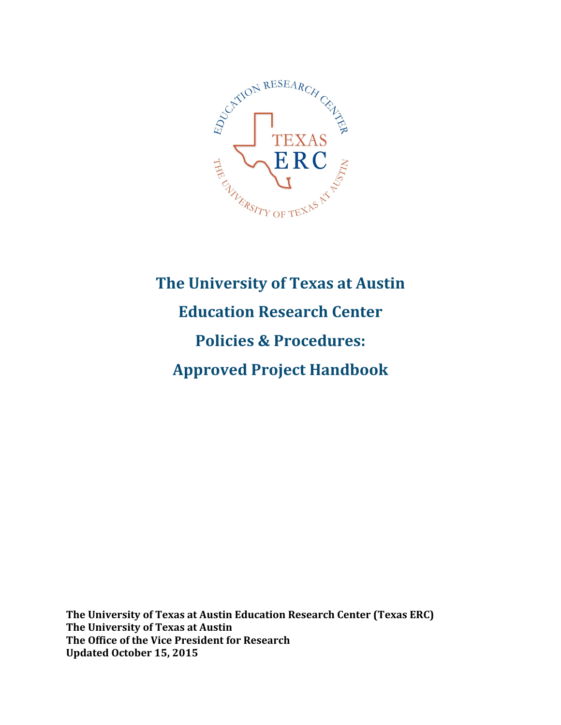

# **The University of Texas at Austin Education Research Center Policies & Procedures: Approved Project Handbook**

The University of Texas at Austin Education Research Center (Texas ERC) **The University of Texas at Austin The Office of the Vice President for Research Updated October 15, 2015**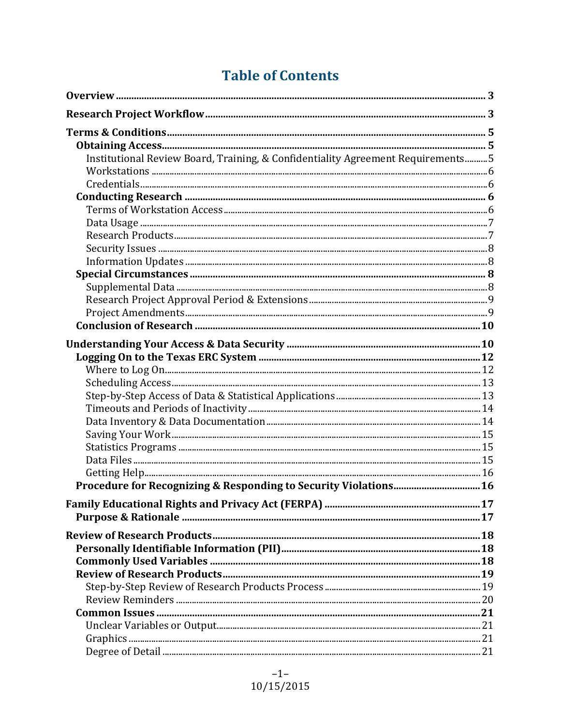## **Table of Contents**

| Institutional Review Board, Training, & Confidentiality Agreement Requirements5 |  |
|---------------------------------------------------------------------------------|--|
|                                                                                 |  |
|                                                                                 |  |
|                                                                                 |  |
|                                                                                 |  |
|                                                                                 |  |
|                                                                                 |  |
|                                                                                 |  |
|                                                                                 |  |
|                                                                                 |  |
|                                                                                 |  |
|                                                                                 |  |
|                                                                                 |  |
|                                                                                 |  |
|                                                                                 |  |
|                                                                                 |  |
|                                                                                 |  |
|                                                                                 |  |
|                                                                                 |  |
|                                                                                 |  |
|                                                                                 |  |
|                                                                                 |  |
|                                                                                 |  |
|                                                                                 |  |
|                                                                                 |  |
| Procedure for Recognizing & Responding to Security Violations 16                |  |
|                                                                                 |  |
|                                                                                 |  |
|                                                                                 |  |
|                                                                                 |  |
|                                                                                 |  |
|                                                                                 |  |
|                                                                                 |  |
|                                                                                 |  |
|                                                                                 |  |
|                                                                                 |  |
|                                                                                 |  |
|                                                                                 |  |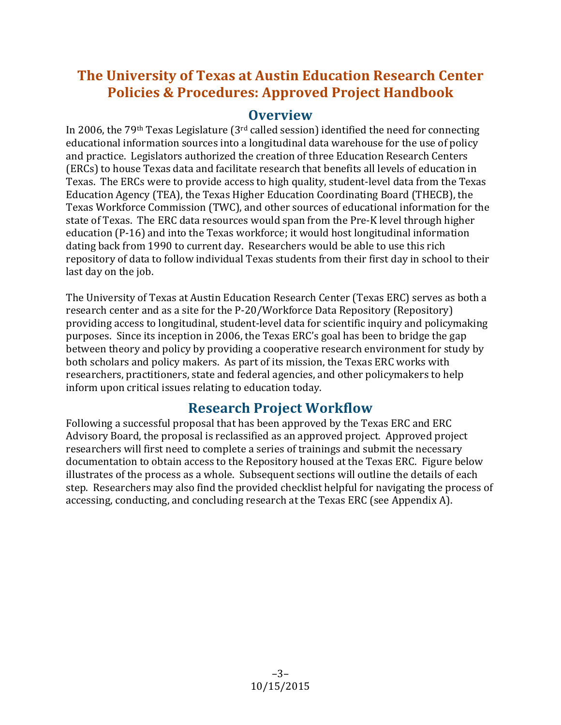## **The University of Texas at Austin Education Research Center Policies & Procedures: Approved Project Handbook**

## **Overview**

In 2006, the  $79<sup>th</sup>$  Texas Legislature  $(3<sup>rd</sup>$  called session) identified the need for connecting educational information sources into a longitudinal data warehouse for the use of policy and practice. Legislators authorized the creation of three Education Research Centers (ERCs) to house Texas data and facilitate research that benefits all levels of education in Texas. The ERCs were to provide access to high quality, student-level data from the Texas Education Agency (TEA), the Texas Higher Education Coordinating Board (THECB), the Texas Workforce Commission (TWC), and other sources of educational information for the state of Texas. The ERC data resources would span from the Pre-K level through higher education (P-16) and into the Texas workforce; it would host longitudinal information dating back from 1990 to current day. Researchers would be able to use this rich repository of data to follow individual Texas students from their first day in school to their last day on the job.

The University of Texas at Austin Education Research Center (Texas ERC) serves as both a research center and as a site for the P-20/Workforce Data Repository (Repository) providing access to longitudinal, student-level data for scientific inquiry and policymaking purposes. Since its inception in 2006, the Texas ERC's goal has been to bridge the gap between theory and policy by providing a cooperative research environment for study by both scholars and policy makers. As part of its mission, the Texas ERC works with researchers, practitioners, state and federal agencies, and other policymakers to help inform upon critical issues relating to education today.

## **Research Project Workflow**

Following a successful proposal that has been approved by the Texas ERC and ERC Advisory Board, the proposal is reclassified as an approved project. Approved project researchers will first need to complete a series of trainings and submit the necessary documentation to obtain access to the Repository housed at the Texas ERC. Figure below illustrates of the process as a whole. Subsequent sections will outline the details of each step. Researchers may also find the provided checklist helpful for navigating the process of accessing, conducting, and concluding research at the Texas ERC (see Appendix A).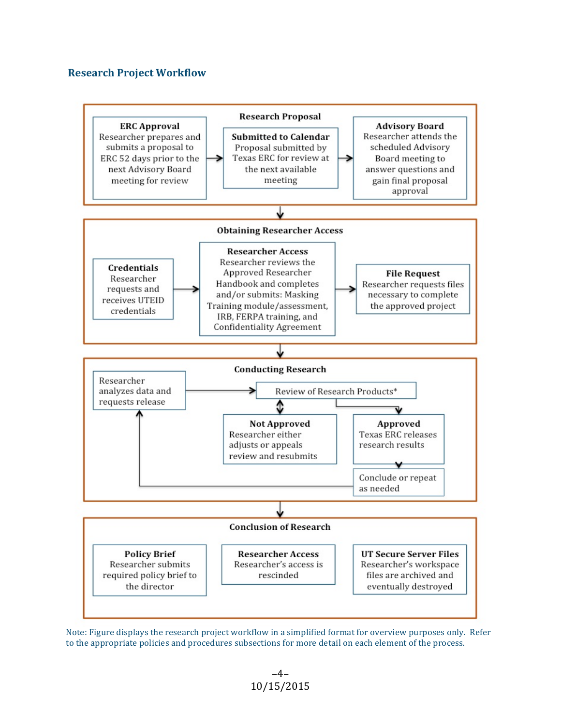#### **Research Project Workflow**



Note: Figure displays the research project workflow in a simplified format for overview purposes only. Refer to the appropriate policies and procedures subsections for more detail on each element of the process.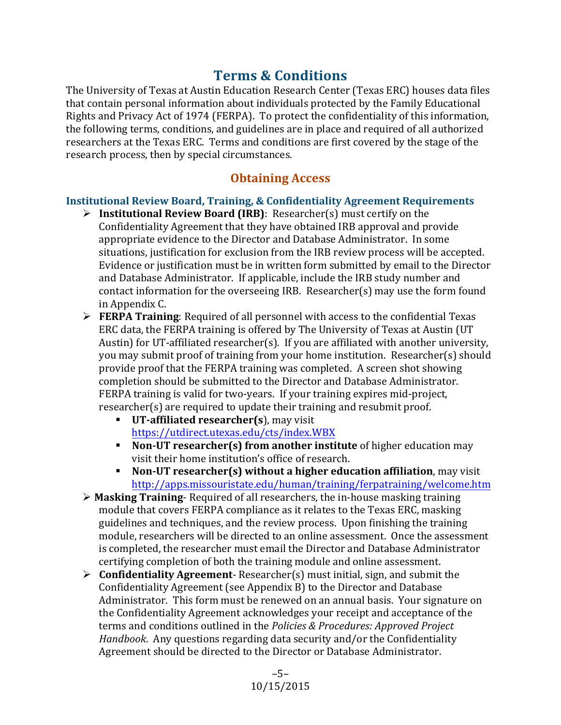## **Terms & Conditions**

The University of Texas at Austin Education Research Center (Texas ERC) houses data files that contain personal information about individuals protected by the Family Educational Rights and Privacy Act of 1974 (FERPA). To protect the confidentiality of this information, the following terms, conditions, and guidelines are in place and required of all authorized researchers at the Texas ERC. Terms and conditions are first covered by the stage of the research process, then by special circumstances.

## **Obtaining Access**

#### **Institutional Review Board, Training, & Confidentiality Agreement Requirements**

- **►** Institutional Review Board (IRB): Researcher(s) must certify on the Confidentiality Agreement that they have obtained IRB approval and provide appropriate evidence to the Director and Database Administrator. In some situations, justification for exclusion from the IRB review process will be accepted. Evidence or justification must be in written form submitted by email to the Director and Database Administrator. If applicable, include the IRB study number and contact information for the overseeing IRB. Researcher(s) may use the form found in Appendix C.
- **► FERPA Training**: Required of all personnel with access to the confidential Texas ERC data, the FERPA training is offered by The University of Texas at Austin (UT Austin) for UT-affiliated researcher(s). If you are affiliated with another university, you may submit proof of training from your home institution. Researcher(s) should provide proof that the FERPA training was completed. A screen shot showing completion should be submitted to the Director and Database Administrator. FERPA training is valid for two-years. If your training expires mid-project, researcher(s) are required to update their training and resubmit proof.
	- **UT-affiliated researcher(s)**, may visit <https://utdirect.utexas.edu/cts/index.WBX>
	- **Non-UT researcher(s) from another institute** of higher education may visit their home institution's office of research.
	- **Non-UT researcher(s) without a higher education affiliation**, may visit <http://apps.missouristate.edu/human/training/ferpatraining/welcome.htm>
- $\triangleright$  **Masking Training** Required of all researchers, the in-house masking training module that covers FERPA compliance as it relates to the Texas ERC, masking guidelines and techniques, and the review process. Upon finishing the training module, researchers will be directed to an online assessment. Once the assessment is completed, the researcher must email the Director and Database Administrator certifying completion of both the training module and online assessment.
- $\triangleright$  **Confidentiality Agreement** Researcher(s) must initial, sign, and submit the Confidentiality Agreement (see Appendix B) to the Director and Database Administrator. This form must be renewed on an annual basis. Your signature on the Confidentiality Agreement acknowledges your receipt and acceptance of the terms and conditions outlined in the *Policies & Procedures: Approved Project Handbook*. Any questions regarding data security and/or the Confidentiality Agreement should be directed to the Director or Database Administrator.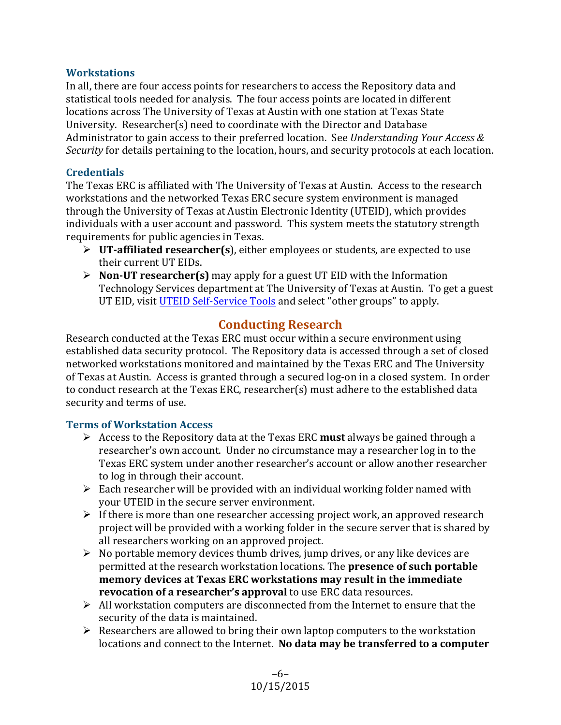#### **Workstations**

In all, there are four access points for researchers to access the Repository data and statistical tools needed for analysis. The four access points are located in different locations across The University of Texas at Austin with one station at Texas State University. Researcher(s) need to coordinate with the Director and Database Administrator to gain access to their preferred location. See *Understanding Your Access & Security* for details pertaining to the location, hours, and security protocols at each location.

#### **Credentials**

The Texas ERC is affiliated with The University of Texas at Austin. Access to the research workstations and the networked Texas ERC secure system environment is managed through the University of Texas at Austin Electronic Identity (UTEID), which provides individuals with a user account and password. This system meets the statutory strength requirements for public agencies in Texas.

- $\triangleright$  **UT-affiliated researcher(s)**, either employees or students, are expected to use their current UT EIDs.
- $\triangleright$  **Non-UT researcher(s)** may apply for a guest UT EID with the Information Technology Services department at The University of Texas at Austin. To get a guest UT EID, visit UTEID Self-Service Tools and select "other groups" to apply.

## **Conducting Research**

Research conducted at the Texas ERC must occur within a secure environment using established data security protocol. The Repository data is accessed through a set of closed networked workstations monitored and maintained by the Texas ERC and The University of Texas at Austin. Access is granted through a secured log-on in a closed system. In order to conduct research at the Texas ERC, researcher(s) must adhere to the established data security and terms of use.

#### **Terms of Workstation Access**

- $\triangleright$  Access to the Repository data at the Texas ERC **must** always be gained through a researcher's own account. Under no circumstance may a researcher log in to the Texas ERC system under another researcher's account or allow another researcher to log in through their account.
- $\triangleright$  Each researcher will be provided with an individual working folder named with your UTEID in the secure server environment.
- $\triangleright$  If there is more than one researcher accessing project work, an approved research project will be provided with a working folder in the secure server that is shared by all researchers working on an approved project.
- $\triangleright$  No portable memory devices thumb drives, jump drives, or any like devices are permitted at the research workstation locations. The **presence of such portable** memory devices at Texas ERC workstations may result in the immediate **revocation of a researcher's approval** to use ERC data resources.
- $\triangleright$  All workstation computers are disconnected from the Internet to ensure that the security of the data is maintained.
- $\triangleright$  Researchers are allowed to bring their own laptop computers to the workstation locations and connect to the Internet. No data may be transferred to a computer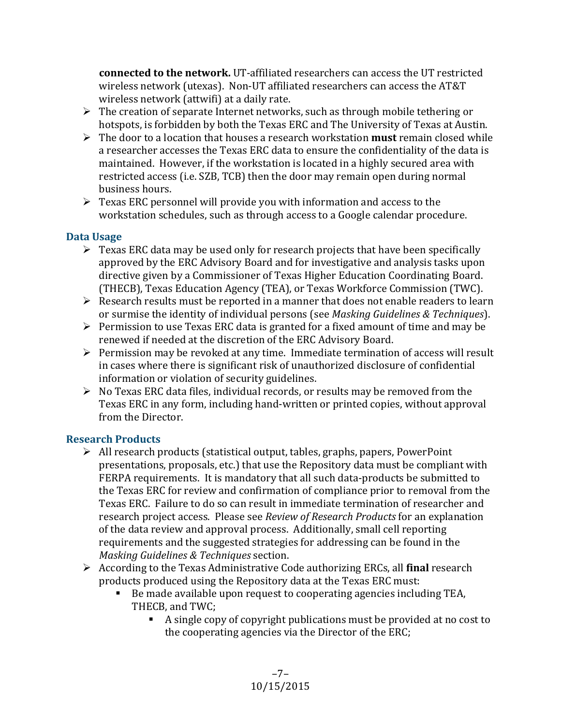**connected to the network.** UT-affiliated researchers can access the UT restricted wireless network (utexas). Non-UT affiliated researchers can access the AT&T wireless network (attwifi) at a daily rate.

- $\triangleright$  The creation of separate Internet networks, such as through mobile tethering or hotspots, is forbidden by both the Texas ERC and The University of Texas at Austin.
- $\triangleright$  The door to a location that houses a research workstation **must** remain closed while a researcher accesses the Texas ERC data to ensure the confidentiality of the data is maintained. However, if the workstation is located in a highly secured area with restricted access (i.e. SZB, TCB) then the door may remain open during normal business hours.
- $\triangleright$  Texas ERC personnel will provide you with information and access to the workstation schedules, such as through access to a Google calendar procedure.

## **Data Usage**

- $\triangleright$  Texas ERC data may be used only for research projects that have been specifically approved by the ERC Advisory Board and for investigative and analysis tasks upon directive given by a Commissioner of Texas Higher Education Coordinating Board. (THECB), Texas Education Agency (TEA), or Texas Workforce Commission (TWC).
- $\triangleright$  Research results must be reported in a manner that does not enable readers to learn or surmise the identity of individual persons (see *Masking Guidelines & Techniques*).
- $\triangleright$  Permission to use Texas ERC data is granted for a fixed amount of time and may be renewed if needed at the discretion of the ERC Advisory Board.
- $\triangleright$  Permission may be revoked at any time. Immediate termination of access will result in cases where there is significant risk of unauthorized disclosure of confidential information or violation of security guidelines.
- $\triangleright$  No Texas ERC data files, individual records, or results may be removed from the Texas ERC in any form, including hand-written or printed copies, without approval from the Director.

## **Research Products**

- $\triangleright$  All research products (statistical output, tables, graphs, papers, PowerPoint presentations, proposals, etc.) that use the Repository data must be compliant with FERPA requirements. It is mandatory that all such data-products be submitted to the Texas ERC for review and confirmation of compliance prior to removal from the Texas ERC. Failure to do so can result in immediate termination of researcher and research project access. Please see *Review of Research Products* for an explanation of the data review and approval process. Additionally, small cell reporting requirements and the suggested strategies for addressing can be found in the *Masking Guidelines & Techniques* section.
- $\triangleright$  According to the Texas Administrative Code authorizing ERCs, all **final** research products produced using the Repository data at the Texas ERC must:
	- Be made available upon request to cooperating agencies including TEA, THECB, and TWC:
		- A single copy of copyright publications must be provided at no cost to the cooperating agencies via the Director of the ERC;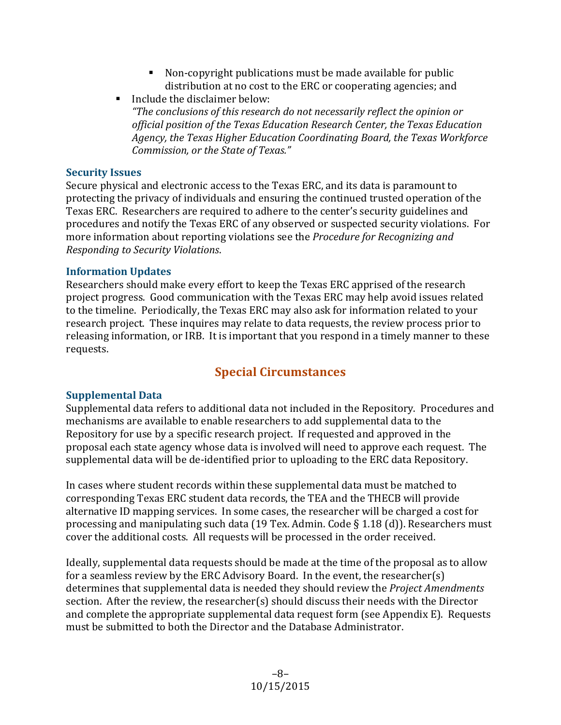- Non-copyright publications must be made available for public distribution at no cost to the ERC or cooperating agencies; and
- $\blacksquare$  Include the disclaimer below: "The conclusions of this research do not necessarily reflect the opinion or official position of the Texas Education Research Center, the Texas Education Agency, the Texas Higher Education Coordinating Board, the Texas Workforce *Commission, or the State of Texas."*

### **Security Issues**

Secure physical and electronic access to the Texas ERC, and its data is paramount to protecting the privacy of individuals and ensuring the continued trusted operation of the Texas ERC. Researchers are required to adhere to the center's security guidelines and procedures and notify the Texas ERC of any observed or suspected security violations. For more information about reporting violations see the *Procedure for Recognizing and Responding to Security Violations*.

### **Information Updates**

Researchers should make every effort to keep the Texas ERC apprised of the research project progress. Good communication with the Texas ERC may help avoid issues related to the timeline. Periodically, the Texas ERC may also ask for information related to your research project. These inquires may relate to data requests, the review process prior to releasing information, or IRB. It is important that you respond in a timely manner to these requests. 

## **Special Circumstances**

## **Supplemental Data**

Supplemental data refers to additional data not included in the Repository. Procedures and mechanisms are available to enable researchers to add supplemental data to the Repository for use by a specific research project. If requested and approved in the proposal each state agency whose data is involved will need to approve each request. The supplemental data will be de-identified prior to uploading to the ERC data Repository.

In cases where student records within these supplemental data must be matched to corresponding Texas ERC student data records, the TEA and the THECB will provide alternative ID mapping services. In some cases, the researcher will be charged a cost for processing and manipulating such data  $(19$  Tex. Admin. Code § 1.18 (d)). Researchers must cover the additional costs. All requests will be processed in the order received.

Ideally, supplemental data requests should be made at the time of the proposal as to allow for a seamless review by the ERC Advisory Board. In the event, the researcher(s) determines that supplemental data is needed they should review the *Project Amendments* section. After the review, the researcher(s) should discuss their needs with the Director and complete the appropriate supplemental data request form (see Appendix E). Requests must be submitted to both the Director and the Database Administrator.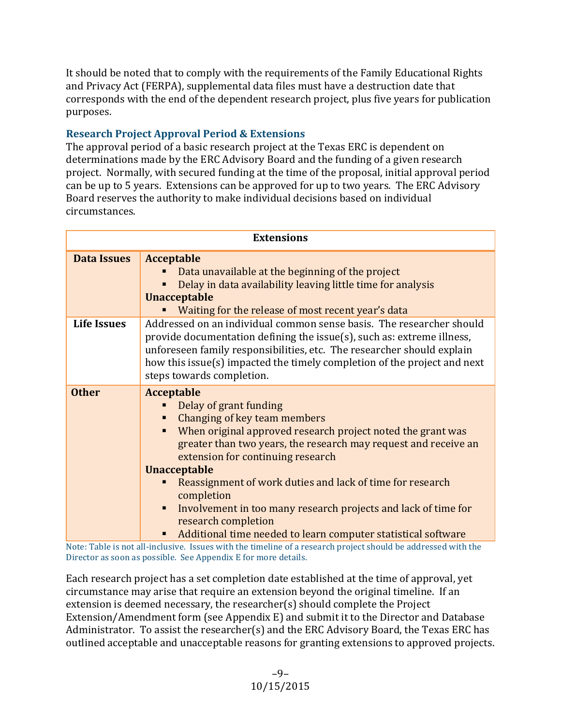It should be noted that to comply with the requirements of the Family Educational Rights and Privacy Act (FERPA), supplemental data files must have a destruction date that corresponds with the end of the dependent research project, plus five years for publication purposes.

## **Research Project Approval Period & Extensions**

The approval period of a basic research project at the Texas ERC is dependent on determinations made by the ERC Advisory Board and the funding of a given research project. Normally, with secured funding at the time of the proposal, initial approval period can be up to 5 years. Extensions can be approved for up to two years. The ERC Advisory Board reserves the authority to make individual decisions based on individual circumstances. 

| <b>Extensions</b>  |                                                                                                                                                                                                                                                                                                                                                                                                                                                                                                                                                                                                                                      |  |
|--------------------|--------------------------------------------------------------------------------------------------------------------------------------------------------------------------------------------------------------------------------------------------------------------------------------------------------------------------------------------------------------------------------------------------------------------------------------------------------------------------------------------------------------------------------------------------------------------------------------------------------------------------------------|--|
| <b>Data Issues</b> | <b>Acceptable</b><br>Data unavailable at the beginning of the project<br>Delay in data availability leaving little time for analysis<br><b>Unacceptable</b><br>Waiting for the release of most recent year's data                                                                                                                                                                                                                                                                                                                                                                                                                    |  |
| <b>Life Issues</b> | Addressed on an individual common sense basis. The researcher should<br>provide documentation defining the issue(s), such as: extreme illness,<br>unforeseen family responsibilities, etc. The researcher should explain<br>how this issue(s) impacted the timely completion of the project and next<br>steps towards completion.                                                                                                                                                                                                                                                                                                    |  |
| <b>Other</b>       | <b>Acceptable</b><br>Delay of grant funding<br>Changing of key team members<br>When original approved research project noted the grant was<br>greater than two years, the research may request and receive an<br>extension for continuing research<br><b>Unacceptable</b><br>Reassignment of work duties and lack of time for research<br>completion<br>Involvement in too many research projects and lack of time for<br>٠<br>research completion<br>Additional time needed to learn computer statistical software<br>Make, Table is usefull including. Issues with the timeline of a measureb musical chemid he addressed with the |  |

Note: Table is not all-inclusive. Issues with the timeline of a research project should be addressed with the Director as soon as possible. See Appendix E for more details.

Each research project has a set completion date established at the time of approval, yet circumstance may arise that require an extension beyond the original timeline. If an extension is deemed necessary, the researcher(s) should complete the Project Extension/Amendment form (see Appendix E) and submit it to the Director and Database Administrator. To assist the researcher(s) and the ERC Advisory Board, the Texas ERC has outlined acceptable and unacceptable reasons for granting extensions to approved projects.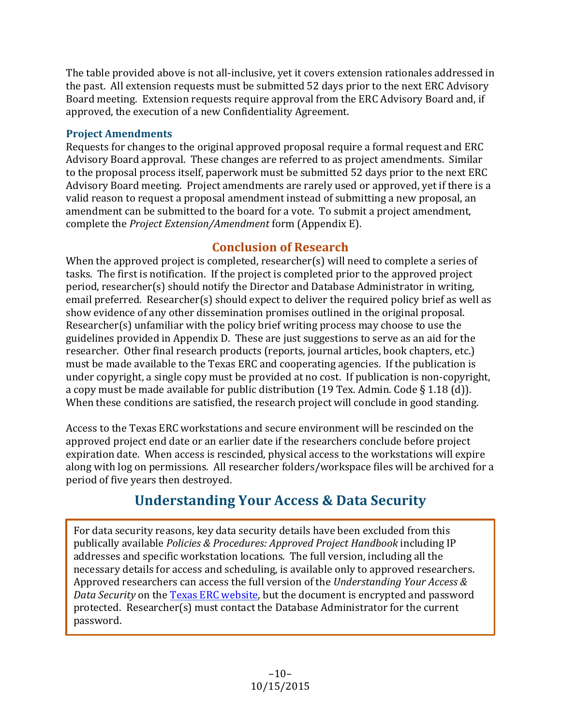The table provided above is not all-inclusive, yet it covers extension rationales addressed in the past. All extension requests must be submitted 52 days prior to the next ERC Advisory Board meeting. Extension requests require approval from the ERC Advisory Board and, if approved, the execution of a new Confidentiality Agreement.

## **Project Amendments**

Requests for changes to the original approved proposal require a formal request and ERC Advisory Board approval. These changes are referred to as project amendments. Similar to the proposal process itself, paperwork must be submitted 52 days prior to the next ERC Advisory Board meeting. Project amendments are rarely used or approved, yet if there is a valid reason to request a proposal amendment instead of submitting a new proposal, an amendment can be submitted to the board for a vote. To submit a project amendment, complete the *Project Extension/Amendment* form (Appendix E).

## **Conclusion of Research**

When the approved project is completed, researcher(s) will need to complete a series of tasks. The first is notification. If the project is completed prior to the approved project period, researcher(s) should notify the Director and Database Administrator in writing, email preferred. Researcher(s) should expect to deliver the required policy brief as well as show evidence of any other dissemination promises outlined in the original proposal. Researcher(s) unfamiliar with the policy brief writing process may choose to use the guidelines provided in Appendix D. These are just suggestions to serve as an aid for the researcher. Other final research products (reports, journal articles, book chapters, etc.) must be made available to the Texas ERC and cooperating agencies. If the publication is under copyright, a single copy must be provided at no cost. If publication is non-copyright, a copy must be made available for public distribution (19 Tex. Admin. Code  $\S$  1.18 (d)). When these conditions are satisfied, the research project will conclude in good standing.

Access to the Texas ERC workstations and secure environment will be rescinded on the approved project end date or an earlier date if the researchers conclude before project expiration date. When access is rescinded, physical access to the workstations will expire along with log on permissions. All researcher folders/workspace files will be archived for a period of five years then destroyed.

## **Understanding Your Access & Data Security**

For data security reasons, key data security details have been excluded from this publically available *Policies & Procedures: Approved Project Handbook* including IP addresses and specific workstation locations. The full version, including all the necessary details for access and scheduling, is available only to approved researchers. Approved researchers can access the full version of the *Understanding Your Access & Data Security* on the Texas ERC website, but the document is encrypted and password protected. Researcher(s) must contact the Database Administrator for the current password.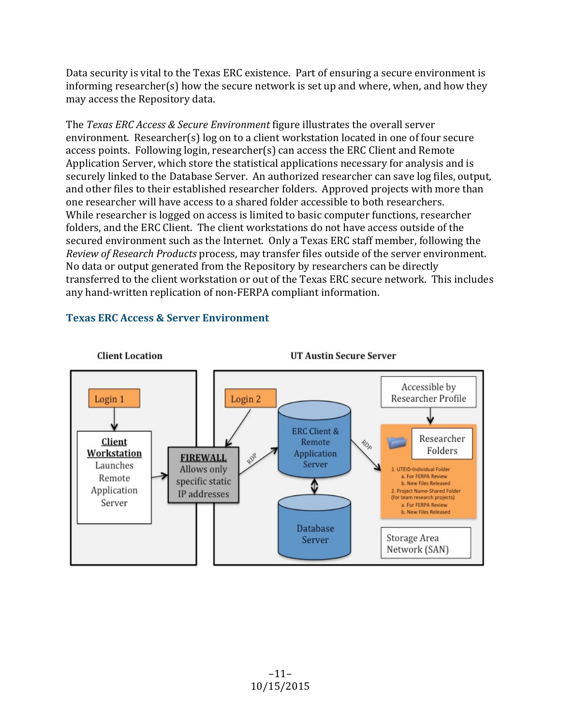Data security is vital to the Texas ERC existence. Part of ensuring a secure environment is informing researcher(s) how the secure network is set up and where, when, and how they may access the Repository data.

The *Texas ERC Access & Secure Environment* figure illustrates the overall server environment. Researcher(s)  $log$  on to a client workstation located in one of four secure access points. Following login, researcher(s) can access the ERC Client and Remote Application Server, which store the statistical applications necessary for analysis and is securely linked to the Database Server. An authorized researcher can save log files, output, and other files to their established researcher folders. Approved projects with more than one researcher will have access to a shared folder accessible to both researchers. While researcher is logged on access is limited to basic computer functions, researcher folders, and the ERC Client. The client workstations do not have access outside of the secured environment such as the Internet. Only a Texas ERC staff member, following the *Review of Research Products* process, may transfer files outside of the server environment. No data or output generated from the Repository by researchers can be directly transferred to the client workstation or out of the Texas ERC secure network. This includes any hand-written replication of non-FERPA compliant information.



### **Texas ERC Access & Server Environment**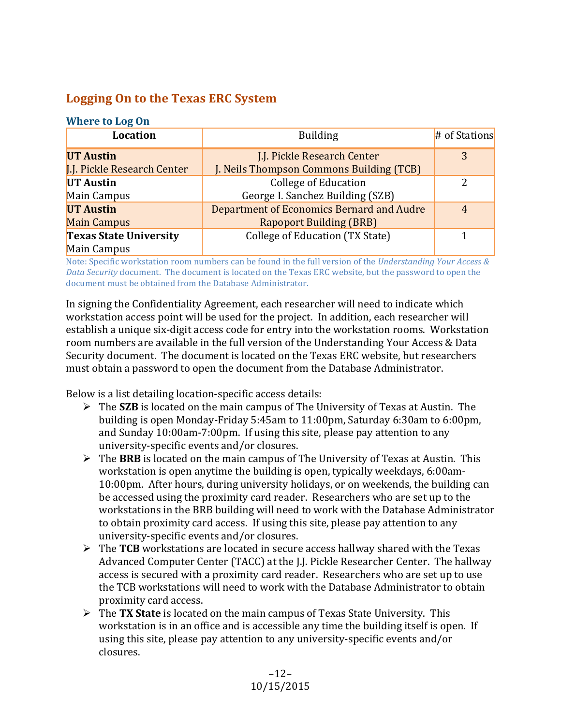## **Logging On to the Texas ERC System**

#### **Where to Log On**

| Location                      | <b>Building</b>                           | # of Stations |
|-------------------------------|-------------------------------------------|---------------|
| <b>UT Austin</b>              | J.J. Pickle Research Center               | 3             |
| J.J. Pickle Research Center   | J. Neils Thompson Commons Building (TCB)  |               |
| <b>UT Austin</b>              | <b>College of Education</b>               | 2             |
| Main Campus                   | George I. Sanchez Building (SZB)          |               |
| <b>UT Austin</b>              | Department of Economics Bernard and Audre | 4             |
| <b>Main Campus</b>            | <b>Rapoport Building (BRB)</b>            |               |
| <b>Texas State University</b> | College of Education (TX State)           |               |
| Main Campus                   |                                           |               |

Note: Specific workstation room numbers can be found in the full version of the *Understanding Your Access & Data Security* document. The document is located on the Texas ERC website, but the password to open the document must be obtained from the Database Administrator.

In signing the Confidentiality Agreement, each researcher will need to indicate which workstation access point will be used for the project. In addition, each researcher will establish a unique six-digit access code for entry into the workstation rooms. Workstation room numbers are available in the full version of the Understanding Your Access & Data Security document. The document is located on the Texas ERC website, but researchers must obtain a password to open the document from the Database Administrator.

Below is a list detailing location-specific access details:

- $\triangleright$  The **SZB** is located on the main campus of The University of Texas at Austin. The building is open Monday-Friday 5:45am to  $11:00$ pm, Saturday 6:30am to 6:00pm, and Sunday 10:00am-7:00pm. If using this site, please pay attention to any university-specific events and/or closures.
- $\triangleright$  The **BRB** is located on the main campus of The University of Texas at Austin. This workstation is open anytime the building is open, typically weekdays, 6:00am-10:00pm. After hours, during university holidays, or on weekends, the building can be accessed using the proximity card reader. Researchers who are set up to the workstations in the BRB building will need to work with the Database Administrator to obtain proximity card access. If using this site, please pay attention to any university-specific events and/or closures.
- $\triangleright$  The TCB workstations are located in secure access hallway shared with the Texas Advanced Computer Center (TACC) at the J.J. Pickle Researcher Center. The hallway access is secured with a proximity card reader. Researchers who are set up to use the TCB workstations will need to work with the Database Administrator to obtain proximity card access.
- $\triangleright$  The **TX State** is located on the main campus of Texas State University. This workstation is in an office and is accessible any time the building itself is open. If using this site, please pay attention to any university-specific events and/or closures.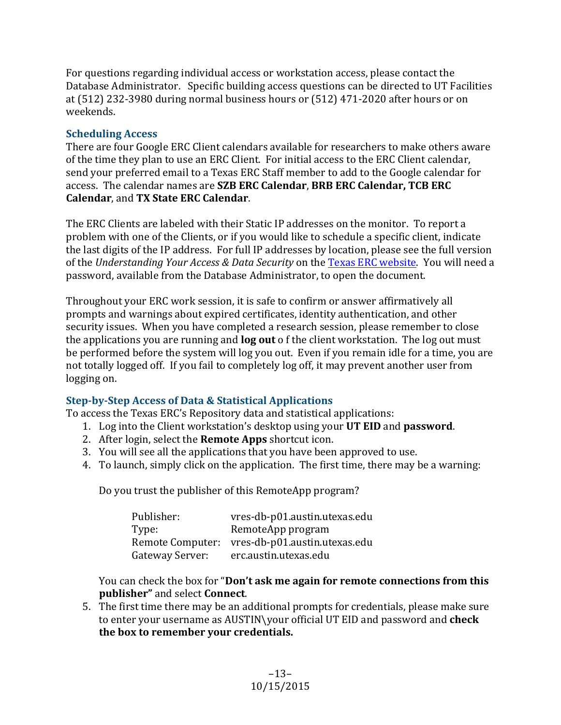For questions regarding individual access or workstation access, please contact the Database Administrator. Specific building access questions can be directed to UT Facilities at (512) 232-3980 during normal business hours or (512) 471-2020 after hours or on weekends. 

### **Scheduling Access**

There are four Google ERC Client calendars available for researchers to make others aware of the time they plan to use an ERC Client. For initial access to the ERC Client calendar, send your preferred email to a Texas ERC Staff member to add to the Google calendar for access. The calendar names are **SZB ERC Calendar**, **BRB ERC Calendar, TCB ERC Calendar, and TX State ERC Calendar.** 

The ERC Clients are labeled with their Static IP addresses on the monitor. To report a problem with one of the Clients, or if you would like to schedule a specific client, indicate the last digits of the IP address. For full IP addresses by location, please see the full version of the *Understanding Your Access & Data Security* on the Texas ERC website. You will need a password, available from the Database Administrator, to open the document.

Throughout your ERC work session, it is safe to confirm or answer affirmatively all prompts and warnings about expired certificates, identity authentication, and other security issues. When you have completed a research session, please remember to close the applications you are running and **log out** of the client workstation. The log out must be performed before the system will log you out. Even if you remain idle for a time, you are not totally logged off. If you fail to completely log off, it may prevent another user from logging on.

## **Step-by-Step Access of Data & Statistical Applications**

To access the Texas ERC's Repository data and statistical applications:

- 1. Log into the Client workstation's desktop using your UT EID and password.
- 2. After login, select the **Remote Apps** shortcut icon.
- 3. You will see all the applications that you have been approved to use.
- 4. To launch, simply click on the application. The first time, there may be a warning:

Do you trust the publisher of this RemoteApp program?

| Publisher:       | vres-db-p01.austin.utexas.edu |
|------------------|-------------------------------|
| Type:            | RemoteApp program             |
| Remote Computer: | vres-db-p01.austin.utexas.edu |
| Gateway Server:  | erc.austin.utexas.edu         |

You can check the box for "**Don't ask me again for remote connections from this publisher"** and select **Connect**.

5. The first time there may be an additional prompts for credentials, please make sure to enter your username as AUSTIN\your official UT EID and password and **check** the box to remember your credentials.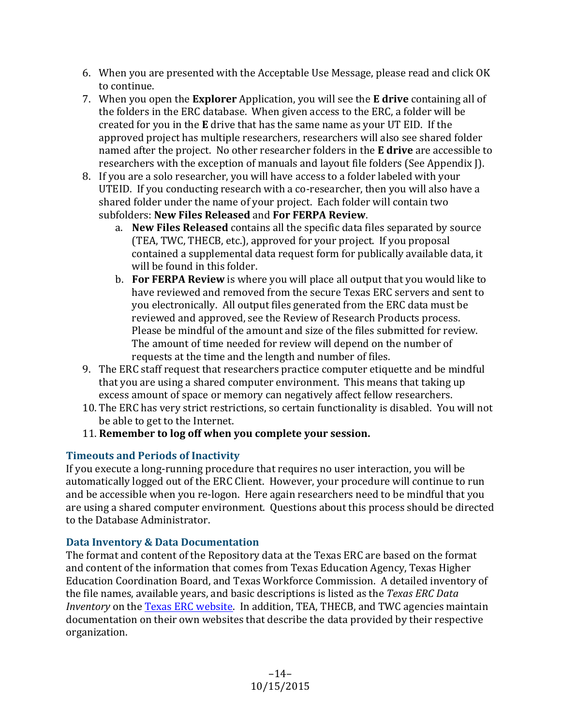- 6. When you are presented with the Acceptable Use Message, please read and click OK to continue.
- 7. When you open the **Explorer** Application, you will see the **E drive** containing all of the folders in the ERC database. When given access to the ERC, a folder will be created for you in the **E** drive that has the same name as your UT EID. If the approved project has multiple researchers, researchers will also see shared folder named after the project. No other researcher folders in the **E drive** are accessible to researchers with the exception of manuals and layout file folders (See Appendix [).
- 8. If you are a solo researcher, you will have access to a folder labeled with your UTEID. If you conducting research with a co-researcher, then you will also have a shared folder under the name of your project. Each folder will contain two subfolders: **New Files Released** and **For FERPA Review**.
	- a. **New Files Released** contains all the specific data files separated by source (TEA, TWC, THECB, etc.), approved for your project. If you proposal contained a supplemental data request form for publically available data, it will be found in this folder.
	- b. **For FERPA Review** is where you will place all output that you would like to have reviewed and removed from the secure Texas ERC servers and sent to you electronically. All output files generated from the ERC data must be reviewed and approved, see the Review of Research Products process. Please be mindful of the amount and size of the files submitted for review. The amount of time needed for review will depend on the number of requests at the time and the length and number of files.
- 9. The ERC staff request that researchers practice computer etiquette and be mindful that you are using a shared computer environment. This means that taking up excess amount of space or memory can negatively affect fellow researchers.
- 10. The ERC has very strict restrictions, so certain functionality is disabled. You will not be able to get to the Internet.
- 11. Remember to log off when you complete your session.

## **Timeouts and Periods of Inactivity**

If you execute a long-running procedure that requires no user interaction, you will be automatically logged out of the ERC Client. However, your procedure will continue to run and be accessible when you re-logon. Here again researchers need to be mindful that you are using a shared computer environment. Questions about this process should be directed to the Database Administrator.

## **Data Inventory & Data Documentation**

The format and content of the Repository data at the Texas ERC are based on the format and content of the information that comes from Texas Education Agency, Texas Higher Education Coordination Board, and Texas Workforce Commission. A detailed inventory of the file names, available years, and basic descriptions is listed as the *Texas ERC Data Inventory* on the Texas ERC website. In addition, TEA, THECB, and TWC agencies maintain documentation on their own websites that describe the data provided by their respective organization.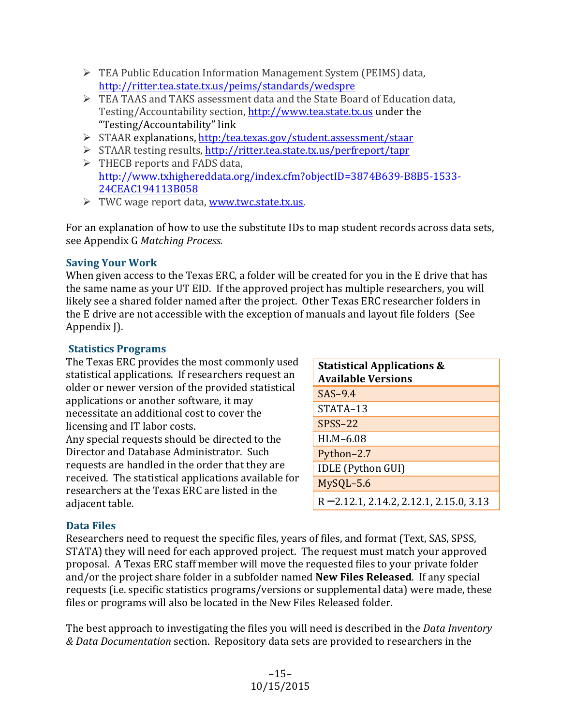- $\triangleright$  TEA Public Education Information Management System (PEIMS) data, <http://ritter.tea.state.tx.us/peims/standards/wedspre>
- $\triangleright$  TEA TAAS and TAKS assessment data and the State Board of Education data, Testing/Accountability section, http://www.tea.state.tx.us under the "Testing/Accountability" link
- Ø STAAR explanations, <http:/tea.texas.gov/student.assessment/staar>
- $\triangleright$  STAAR testing results, http://ritter.tea.state.tx.us/perfreport/tapr  $\triangleright$  THECB reports and FADS data, [http://www.txhighereddata.org/index.cfm?objectID=3874B639-B8B5-1533-](http://www.txhighereddata.org/index.cfm?objectID=3874B639-B8B5-1533-24CEAC194113B058)
	- [24CEAC194113B058](http://www.txhighereddata.org/index.cfm?objectID=3874B639-B8B5-1533-24CEAC194113B058)
- $\triangleright$  TWC wage report data, www.twc.state.tx.us.

For an explanation of how to use the substitute IDs to map student records across data sets, see Appendix G *Matching Process.*

#### **Saving Your Work**

When given access to the Texas ERC, a folder will be created for you in the E drive that has the same name as your UT EID. If the approved project has multiple researchers, you will likely see a shared folder named after the project. Other Texas ERC researcher folders in the E drive are not accessible with the exception of manuals and layout file folders (See Appendix J).

#### **Statistics Programs**

The Texas ERC provides the most commonly used statistical applications. If researchers request an older or newer version of the provided statistical applications or another software, it may necessitate an additional cost to cover the licensing and IT labor costs. Any special requests should be directed to the Director and Database Administrator. Such

requests are handled in the order that they are received. The statistical applications available for researchers at the Texas ERC are listed in the adjacent table.

| <b>Statistical Applications &amp;</b><br><b>Available Versions</b> |
|--------------------------------------------------------------------|
| $SAS-9.4$                                                          |
| STATA-13                                                           |
| $SPSS-22$                                                          |
| HLM-6.08                                                           |
| Python-2.7                                                         |
| <b>IDLE</b> (Python GUI)                                           |
| MySQL-5.6                                                          |
| $R = 2.12.1, 2.14.2, 2.12.1, 2.15.0, 3.13$                         |

## **Data Files**

Researchers need to request the specific files, years of files, and format (Text, SAS, SPSS, STATA) they will need for each approved project. The request must match your approved proposal. A Texas ERC staff member will move the requested files to your private folder and/or the project share folder in a subfolder named **New Files Released**. If any special requests (i.e. specific statistics programs/versions or supplemental data) were made, these files or programs will also be located in the New Files Released folder.

The best approach to investigating the files you will need is described in the *Data Inventory & Data Documentation* section. Repository data sets are provided to researchers in the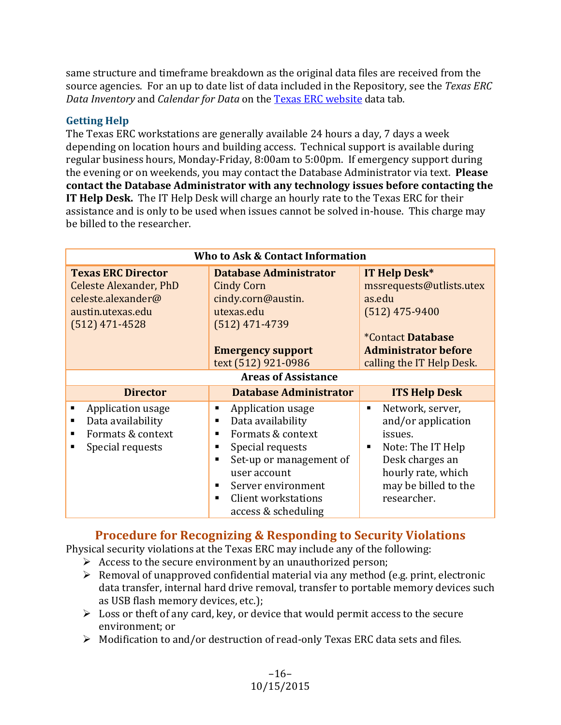same structure and timeframe breakdown as the original data files are received from the source agencies. For an up to date list of data included in the Repository, see the Texas ERC *Data Inventory* and *Calendar for Data* on the Texas ERC website data tab.

#### **Getting Help**

The Texas ERC workstations are generally available 24 hours a day, 7 days a week depending on location hours and building access. Technical support is available during regular business hours, Monday-Friday, 8:00am to 5:00pm. If emergency support during the evening or on weekends, you may contact the Database Administrator via text. Please contact the Database Administrator with any technology issues before contacting the **IT Help Desk.** The IT Help Desk will charge an hourly rate to the Texas ERC for their assistance and is only to be used when issues cannot be solved in-house. This charge may be billed to the researcher.

| Who to Ask & Contact Information                                                                                          |                                                                                                                                                                                                                              |                                                                                                                                                                               |
|---------------------------------------------------------------------------------------------------------------------------|------------------------------------------------------------------------------------------------------------------------------------------------------------------------------------------------------------------------------|-------------------------------------------------------------------------------------------------------------------------------------------------------------------------------|
| <b>Texas ERC Director</b><br><b>Celeste Alexander, PhD</b><br>celeste.alexander@<br>austin.utexas.edu<br>$(512)$ 471-4528 | <b>Database Administrator</b><br><b>Cindy Corn</b><br>cindy.corn@austin.<br>utexas.edu<br>$(512)$ 471-4739<br><b>Emergency support</b><br>text (512) 921-0986                                                                | <b>IT Help Desk*</b><br>mssrequests@utlists.utex<br>as.edu<br>$(512)$ 475-9400<br><i><b>*Contact Database</b></i><br><b>Administrator before</b><br>calling the IT Help Desk. |
| <b>Areas of Assistance</b>                                                                                                |                                                                                                                                                                                                                              |                                                                                                                                                                               |
| <b>Director</b>                                                                                                           | <b>Database Administrator</b>                                                                                                                                                                                                | <b>ITS Help Desk</b>                                                                                                                                                          |
| Application usage<br>Data availability<br>Formats & context<br>Special requests                                           | Application usage<br>ш<br>Data availability<br>٠<br>Formats & context<br>٠<br>Special requests<br>٠<br>Set-up or management of<br>٠<br>user account<br>Server environment<br>Client workstations<br>٠<br>access & scheduling | Network, server,<br>п<br>and/or application<br>issues.<br>Note: The IT Help<br>Desk charges an<br>hourly rate, which<br>may be billed to the<br>researcher.                   |

## **Procedure for Recognizing & Responding to Security Violations**

Physical security violations at the Texas ERC may include any of the following:

- $\triangleright$  Access to the secure environment by an unauthorized person;
- $\triangleright$  Removal of unapproved confidential material via any method (e.g. print, electronic data transfer, internal hard drive removal, transfer to portable memory devices such as USB flash memory devices, etc.);
- $\triangleright$  Loss or theft of any card, key, or device that would permit access to the secure environment; or
- $\triangleright$  Modification to and/or destruction of read-only Texas ERC data sets and files.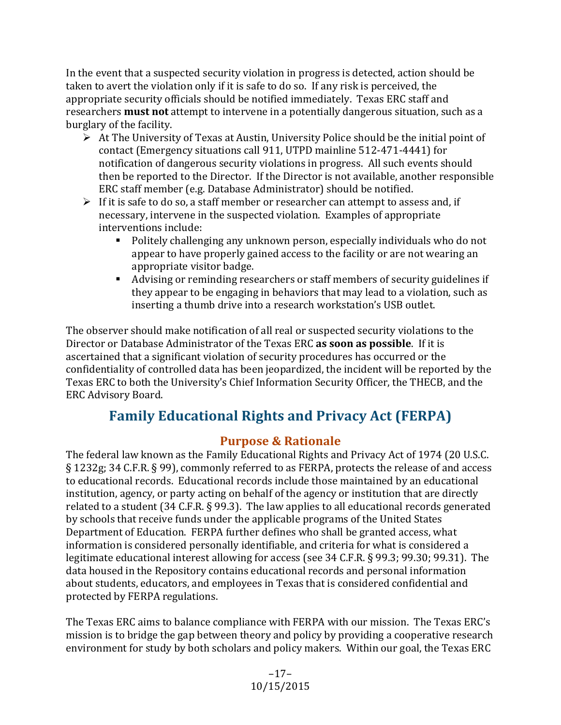In the event that a suspected security violation in progress is detected, action should be taken to avert the violation only if it is safe to do so. If any risk is perceived, the appropriate security officials should be notified immediately. Texas ERC staff and researchers **must not** attempt to intervene in a potentially dangerous situation, such as a burglary of the facility.

- $\triangleright$  At The University of Texas at Austin, University Police should be the initial point of contact (Emergency situations call 911, UTPD mainline 512-471-4441) for notification of dangerous security violations in progress. All such events should then be reported to the Director. If the Director is not available, another responsible ERC staff member (e.g. Database Administrator) should be notified.
- $\triangleright$  If it is safe to do so, a staff member or researcher can attempt to assess and, if necessary, intervene in the suspected violation. Examples of appropriate interventions include:
	- Politely challenging any unknown person, especially individuals who do not appear to have properly gained access to the facility or are not wearing an appropriate visitor badge.
	- Advising or reminding researchers or staff members of security guidelines if they appear to be engaging in behaviors that may lead to a violation, such as inserting a thumb drive into a research workstation's USB outlet.

The observer should make notification of all real or suspected security violations to the Director or Database Administrator of the Texas ERC **as soon as possible**. If it is ascertained that a significant violation of security procedures has occurred or the confidentiality of controlled data has been jeopardized, the incident will be reported by the Texas ERC to both the University's Chief Information Security Officer, the THECB, and the ERC Advisory Board. 

## **Family Educational Rights and Privacy Act (FERPA)**

## **Purpose & Rationale**

The federal law known as the Family Educational Rights and Privacy Act of 1974 (20 U.S.C. § 1232g; 34 C.F.R. § 99), commonly referred to as FERPA, protects the release of and access to educational records. Educational records include those maintained by an educational institution, agency, or party acting on behalf of the agency or institution that are directly related to a student  $(34 \text{ C.F.R.} \S 99.3)$ . The law applies to all educational records generated by schools that receive funds under the applicable programs of the United States Department of Education. FERPA further defines who shall be granted access, what information is considered personally identifiable, and criteria for what is considered a legitimate educational interest allowing for access (see 34 C.F.R. § 99.3; 99.30; 99.31). The data housed in the Repository contains educational records and personal information about students, educators, and employees in Texas that is considered confidential and protected by FERPA regulations.

The Texas ERC aims to balance compliance with FERPA with our mission. The Texas ERC's mission is to bridge the gap between theory and policy by providing a cooperative research environment for study by both scholars and policy makers. Within our goal, the Texas ERC

> –17– 10/15/2015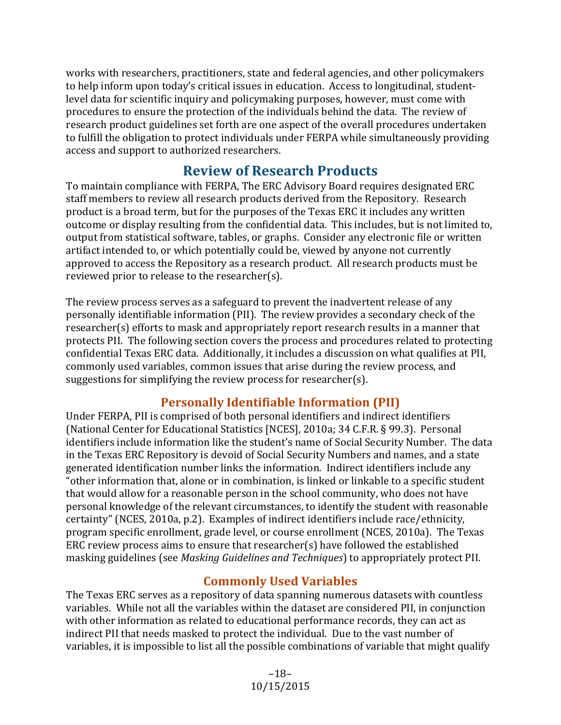works with researchers, practitioners, state and federal agencies, and other policymakers to help inform upon today's critical issues in education. Access to longitudinal, studentlevel data for scientific inquiry and policymaking purposes, however, must come with procedures to ensure the protection of the individuals behind the data. The review of research product guidelines set forth are one aspect of the overall procedures undertaken to fulfill the obligation to protect individuals under FERPA while simultaneously providing access and support to authorized researchers.

## **Review of Research Products**

To maintain compliance with FERPA, The ERC Advisory Board requires designated ERC staff members to review all research products derived from the Repository. Research product is a broad term, but for the purposes of the Texas ERC it includes any written outcome or display resulting from the confidential data. This includes, but is not limited to, output from statistical software, tables, or graphs. Consider any electronic file or written artifact intended to, or which potentially could be, viewed by anyone not currently approved to access the Repository as a research product. All research products must be reviewed prior to release to the researcher(s).

The review process serves as a safeguard to prevent the inadvertent release of any personally identifiable information (PII). The review provides a secondary check of the researcher(s) efforts to mask and appropriately report research results in a manner that protects PII. The following section covers the process and procedures related to protecting confidential Texas ERC data. Additionally, it includes a discussion on what qualifies at PII, commonly used variables, common issues that arise during the review process, and suggestions for simplifying the review process for researcher(s).

## **Personally Identifiable Information (PII)**

Under FERPA, PII is comprised of both personal identifiers and indirect identifiers (National Center for Educational Statistics [NCES], 2010a; 34 C.F.R. § 99.3). Personal identifiers include information like the student's name of Social Security Number. The data in the Texas ERC Repository is devoid of Social Security Numbers and names, and a state generated identification number links the information. Indirect identifiers include any "other information that, alone or in combination, is linked or linkable to a specific student that would allow for a reasonable person in the school community, who does not have personal knowledge of the relevant circumstances, to identify the student with reasonable certainty" (NCES, 2010a, p.2). Examples of indirect identifiers include race/ethnicity, program specific enrollment, grade level, or course enrollment (NCES, 2010a). The Texas ERC review process aims to ensure that researcher(s) have followed the established masking guidelines (see *Masking Guidelines and Techniques*) to appropriately protect PII.

## **Commonly Used Variables**

The Texas ERC serves as a repository of data spanning numerous datasets with countless variables. While not all the variables within the dataset are considered PII, in conjunction with other information as related to educational performance records, they can act as indirect PII that needs masked to protect the individual. Due to the vast number of variables, it is impossible to list all the possible combinations of variable that might qualify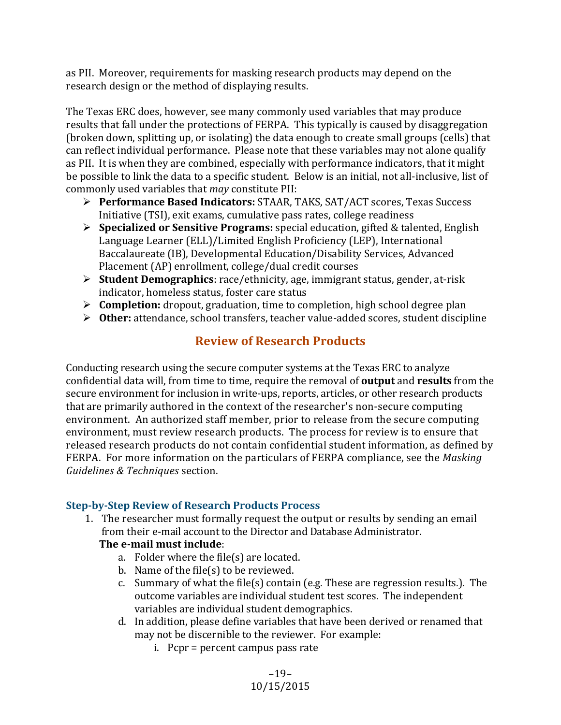as PII. Moreover, requirements for masking research products may depend on the research design or the method of displaying results.

The Texas ERC does, however, see many commonly used variables that may produce results that fall under the protections of FERPA. This typically is caused by disaggregation (broken down, splitting up, or isolating) the data enough to create small groups (cells) that can reflect individual performance. Please note that these variables may not alone qualify as PII. It is when they are combined, especially with performance indicators, that it might be possible to link the data to a specific student. Below is an initial, not all-inclusive, list of commonly used variables that *may* constitute PII:

- **► Performance Based Indicators:** STAAR, TAKS, SAT/ACT scores, Texas Success Initiative (TSI), exit exams, cumulative pass rates, college readiness
- **►** Specialized or Sensitive Programs: special education, gifted & talented, English Language Learner (ELL)/Limited English Proficiency (LEP), International Baccalaureate (IB), Developmental Education/Disability Services, Advanced Placement (AP) enrollment, college/dual credit courses
- **►** Student Demographics: race/ethnicity, age, immigrant status, gender, at-risk indicator, homeless status, foster care status
- **► Completion:** dropout, graduation, time to completion, high school degree plan
- **► Other:** attendance, school transfers, teacher value-added scores, student discipline

## **Review of Research Products**

Conducting research using the secure computer systems at the Texas ERC to analyze confidential data will, from time to time, require the removal of **output** and **results** from the secure environment for inclusion in write-ups, reports, articles, or other research products that are primarily authored in the context of the researcher's non-secure computing environment. An authorized staff member, prior to release from the secure computing environment, must review research products. The process for review is to ensure that released research products do not contain confidential student information, as defined by FERPA. For more information on the particulars of FERPA compliance, see the *Masking Guidelines & Techniques* section. 

## **Step-by-Step Review of Research Products Process**

1. The researcher must formally request the output or results by sending an email from their e-mail account to the Director and Database Administrator.

## **The e-mail must include:**

- a. Folder where the file $(s)$  are located.
- b. Name of the file(s) to be reviewed.
- c. Summary of what the file(s) contain (e.g. These are regression results.). The outcome variables are individual student test scores. The independent variables are individual student demographics.
- d. In addition, please define variables that have been derived or renamed that may not be discernible to the reviewer. For example:
	- $i.$  Pcpr = percent campus pass rate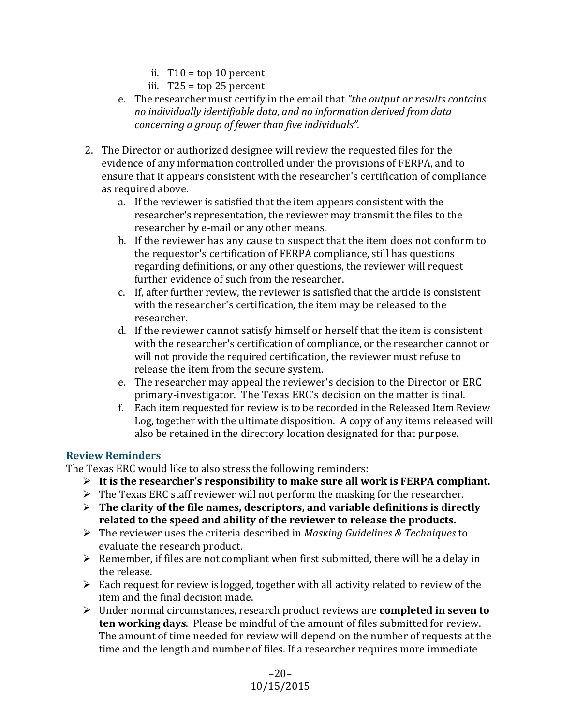- ii. T10 = top 10 percent
- iii.  $T25 = \text{top } 25$  percent
- e. The researcher must certify in the email that "the *output or results contains* no individually identifiable data, and no information derived from data *concerning a group of fewer than five individuals"*.
- 2. The Director or authorized designee will review the requested files for the evidence of any information controlled under the provisions of FERPA, and to ensure that it appears consistent with the researcher's certification of compliance as required above.
	- a. If the reviewer is satisfied that the item appears consistent with the researcher's representation, the reviewer may transmit the files to the researcher by e-mail or any other means.
	- b. If the reviewer has any cause to suspect that the item does not conform to the requestor's certification of FERPA compliance, still has questions regarding definitions, or any other questions, the reviewer will request further evidence of such from the researcher.
	- c. If, after further review, the reviewer is satisfied that the article is consistent with the researcher's certification, the item may be released to the researcher.
	- d. If the reviewer cannot satisfy himself or herself that the item is consistent with the researcher's certification of compliance, or the researcher cannot or will not provide the required certification, the reviewer must refuse to release the item from the secure system.
	- e. The researcher may appeal the reviewer's decision to the Director or ERC primary-investigator. The Texas ERC's decision on the matter is final.
	- f. Each item requested for review is to be recorded in the Released Item Review Log, together with the ultimate disposition. A copy of any items released will also be retained in the directory location designated for that purpose.

## **Review Reminders**

The Texas ERC would like to also stress the following reminders:

- $\triangleright$  It is the researcher's responsibility to make sure all work is FERPA compliant.
- $\triangleright$  The Texas ERC staff reviewer will not perform the masking for the researcher.
- $\triangleright$  The clarity of the file names, descriptors, and variable definitions is directly related to the speed and ability of the reviewer to release the products.
- $\triangleright$  The reviewer uses the criteria described in *Masking Guidelines & Techniques* to evaluate the research product.
- $\triangleright$  Remember, if files are not compliant when first submitted, there will be a delay in the release.
- $\triangleright$  Each request for review is logged, together with all activity related to review of the item and the final decision made.
- $\triangleright$  Under normal circumstances, research product reviews are **completed in seven to ten working days**. Please be mindful of the amount of files submitted for review. The amount of time needed for review will depend on the number of requests at the time and the length and number of files. If a researcher requires more immediate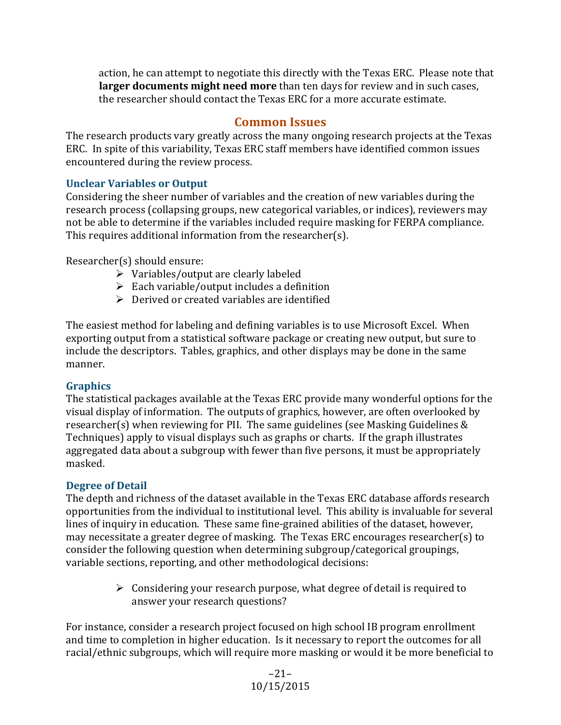action, he can attempt to negotiate this directly with the Texas ERC. Please note that **larger documents might need more** than ten days for review and in such cases, the researcher should contact the Texas ERC for a more accurate estimate.

## **Common Issues**

The research products vary greatly across the many ongoing research projects at the Texas ERC. In spite of this variability, Texas ERC staff members have identified common issues encountered during the review process.

## **Unclear Variables or Output**

Considering the sheer number of variables and the creation of new variables during the research process (collapsing groups, new categorical variables, or indices), reviewers may not be able to determine if the variables included require masking for FERPA compliance. This requires additional information from the researcher(s).

Researcher(s) should ensure:

- $\triangleright$  Variables/output are clearly labeled
- $\triangleright$  Each variable/output includes a definition
- $\triangleright$  Derived or created variables are identified

The easiest method for labeling and defining variables is to use Microsoft Excel. When exporting output from a statistical software package or creating new output, but sure to include the descriptors. Tables, graphics, and other displays may be done in the same manner.

## **Graphics**

The statistical packages available at the Texas ERC provide many wonderful options for the visual display of information. The outputs of graphics, however, are often overlooked by researcher(s) when reviewing for PII. The same guidelines (see Masking Guidelines  $&$ Techniques) apply to visual displays such as graphs or charts. If the graph illustrates aggregated data about a subgroup with fewer than five persons, it must be appropriately masked. 

## **Degree of Detail**

The depth and richness of the dataset available in the Texas ERC database affords research opportunities from the individual to institutional level. This ability is invaluable for several lines of inquiry in education. These same fine-grained abilities of the dataset, however, may necessitate a greater degree of masking. The Texas ERC encourages researcher(s) to consider the following question when determining subgroup/categorical groupings, variable sections, reporting, and other methodological decisions:

> $\triangleright$  Considering your research purpose, what degree of detail is required to answer your research questions?

For instance, consider a research project focused on high school IB program enrollment and time to completion in higher education. Is it necessary to report the outcomes for all racial/ethnic subgroups, which will require more masking or would it be more beneficial to

> –21– 10/15/2015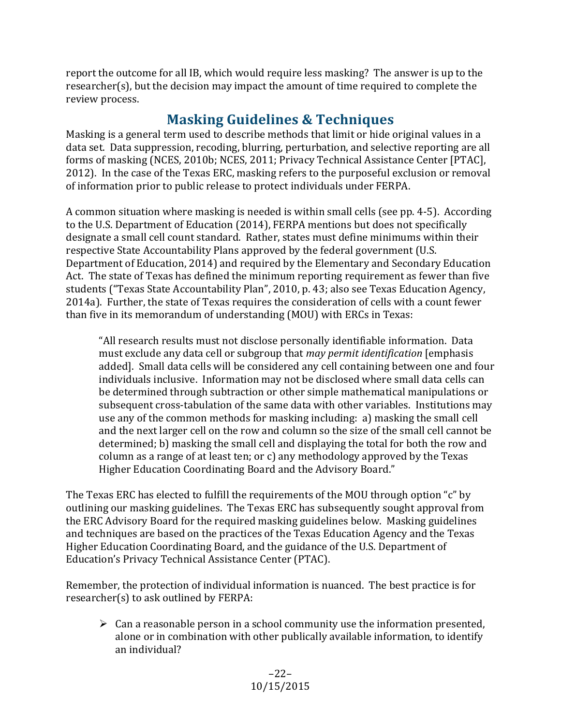report the outcome for all IB, which would require less masking? The answer is up to the researcher(s), but the decision may impact the amount of time required to complete the review process.

## **Masking Guidelines & Techniques**

Masking is a general term used to describe methods that limit or hide original values in a data set. Data suppression, recoding, blurring, perturbation, and selective reporting are all forms of masking (NCES, 2010b; NCES, 2011; Privacy Technical Assistance Center [PTAC], 2012). In the case of the Texas ERC, masking refers to the purposeful exclusion or removal of information prior to public release to protect individuals under FERPA.

A common situation where masking is needed is within small cells (see pp. 4-5). According to the U.S. Department of Education (2014), FERPA mentions but does not specifically designate a small cell count standard. Rather, states must define minimums within their respective State Accountability Plans approved by the federal government (U.S. Department of Education, 2014) and required by the Elementary and Secondary Education Act. The state of Texas has defined the minimum reporting requirement as fewer than five students ("Texas State Accountability Plan", 2010, p. 43; also see Texas Education Agency, 2014a). Further, the state of Texas requires the consideration of cells with a count fewer than five in its memorandum of understanding (MOU) with ERCs in Texas:

"All research results must not disclose personally identifiable information. Data must exclude any data cell or subgroup that *may permit identification* [emphasis added]. Small data cells will be considered any cell containing between one and four individuals inclusive. Information may not be disclosed where small data cells can be determined through subtraction or other simple mathematical manipulations or subsequent cross-tabulation of the same data with other variables. Institutions may use any of the common methods for masking including: a) masking the small cell and the next larger cell on the row and column so the size of the small cell cannot be determined; b) masking the small cell and displaying the total for both the row and column as a range of at least ten; or c) any methodology approved by the Texas Higher Education Coordinating Board and the Advisory Board."

The Texas ERC has elected to fulfill the requirements of the MOU through option "c" by outlining our masking guidelines. The Texas ERC has subsequently sought approval from the ERC Advisory Board for the required masking guidelines below. Masking guidelines and techniques are based on the practices of the Texas Education Agency and the Texas Higher Education Coordinating Board, and the guidance of the U.S. Department of Education's Privacy Technical Assistance Center (PTAC).

Remember, the protection of individual information is nuanced. The best practice is for researcher(s) to ask outlined by FERPA:

 $\triangleright$  Can a reasonable person in a school community use the information presented, alone or in combination with other publically available information, to identify an individual?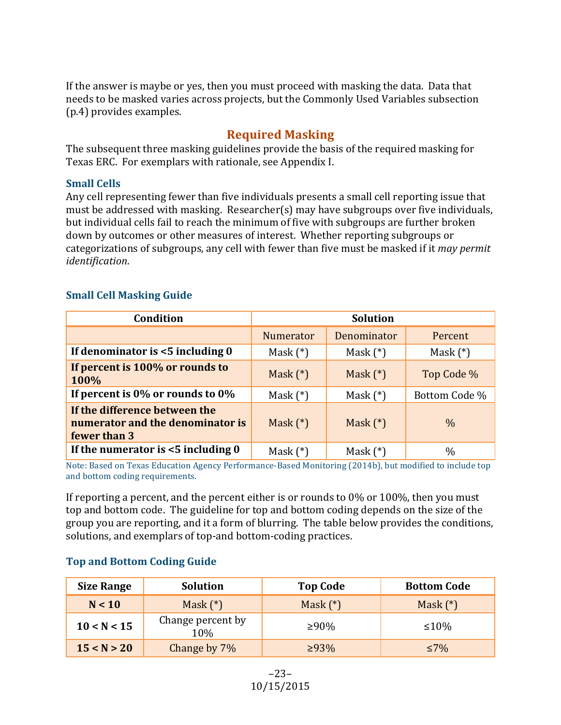If the answer is maybe or yes, then you must proceed with masking the data. Data that needs to be masked varies across projects, but the Commonly Used Variables subsection (p.4) provides examples.

## **Required Masking**

The subsequent three masking guidelines provide the basis of the required masking for Texas ERC. For exemplars with rationale, see Appendix I.

### **Small Cells**

Any cell representing fewer than five individuals presents a small cell reporting issue that must be addressed with masking. Researcher(s) may have subgroups over five individuals, but individual cells fail to reach the minimum of five with subgroups are further broken down by outcomes or other measures of interest. Whether reporting subgroups or categorizations of subgroups, any cell with fewer than five must be masked if it *may permit identification*. 

## **Small Cell Masking Guide**

| Condition                                                                         | <b>Solution</b>  |                    |               |
|-----------------------------------------------------------------------------------|------------------|--------------------|---------------|
|                                                                                   | <b>Numerator</b> | <b>Denominator</b> | Percent       |
| If denominator is <5 including 0                                                  | Mask $(*)$       | Mask $(*)$         | Mask $(*)$    |
| If percent is 100% or rounds to<br>100%                                           | Mask $(*)$       | Mask $(*)$         | Top Code %    |
| If percent is $0\%$ or rounds to $0\%$                                            | Mask $(*)$       | Mask $(*)$         | Bottom Code % |
| If the difference between the<br>numerator and the denominator is<br>fewer than 3 | Mask $(*)$       | Mask $(*)$         | $\frac{0}{0}$ |
| If the numerator is $<$ 5 including 0                                             | Mask $(*)$       | Mask $(*)$         | $\%$          |

Note: Based on Texas Education Agency Performance-Based Monitoring (2014b), but modified to include top and bottom coding requirements.

If reporting a percent, and the percent either is or rounds to  $0\%$  or  $100\%$ , then you must top and bottom code. The guideline for top and bottom coding depends on the size of the group you are reporting, and it a form of blurring. The table below provides the conditions, solutions, and exemplars of top-and bottom-coding practices.

## **Top and Bottom Coding Guide**

| <b>Size Range</b> | Solution                 | <b>Top Code</b> | <b>Bottom Code</b> |
|-------------------|--------------------------|-----------------|--------------------|
| N < 10            | Mask $(*)$               | Mask $(*)$      | Mask $(*)$         |
| 10 < N < 15       | Change percent by<br>10% | ≥90%            | $\leq 10\%$        |
| 15 < N > 20       | Change by 7\%            | $>93\%$         | ≤7%                |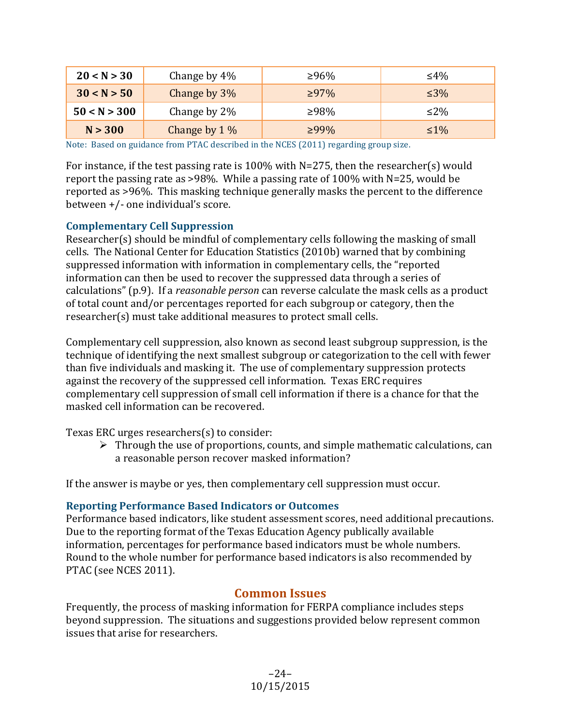| 20 < N > 30  | Change by $4\%$ | ≥96%        | ≤4%        |
|--------------|-----------------|-------------|------------|
| 30 < N > 50  | Change by 3%    | $\geq 97\%$ | $\leq 3\%$ |
| 50 < N > 300 | Change by 2\%   | ≥98%        | $\leq$ 2%  |
| N > 300      | Change by $1\%$ | $>99\%$     | $\leq 1\%$ |

Note: Based on guidance from PTAC described in the NCES  $(2011)$  regarding group size.

For instance, if the test passing rate is 100% with N=275, then the researcher(s) would report the passing rate as >98%. While a passing rate of  $100\%$  with N=25, would be reported as >96%. This masking technique generally masks the percent to the difference between  $+/-$  one individual's score.

#### **Complementary Cell Suppression**

Researcher(s) should be mindful of complementary cells following the masking of small cells. The National Center for Education Statistics (2010b) warned that by combining suppressed information with information in complementary cells, the "reported information can then be used to recover the suppressed data through a series of calculations" (p.9). If a *reasonable person* can reverse calculate the mask cells as a product of total count and/or percentages reported for each subgroup or category, then the researcher(s) must take additional measures to protect small cells.

Complementary cell suppression, also known as second least subgroup suppression, is the technique of identifying the next smallest subgroup or categorization to the cell with fewer than five individuals and masking it. The use of complementary suppression protects against the recovery of the suppressed cell information. Texas ERC requires complementary cell suppression of small cell information if there is a chance for that the masked cell information can be recovered.

Texas ERC urges researchers $(s)$  to consider:

 $\triangleright$  Through the use of proportions, counts, and simple mathematic calculations, can a reasonable person recover masked information?

If the answer is maybe or yes, then complementary cell suppression must occur.

#### **Reporting Performance Based Indicators or Outcomes**

Performance based indicators, like student assessment scores, need additional precautions. Due to the reporting format of the Texas Education Agency publically available information, percentages for performance based indicators must be whole numbers. Round to the whole number for performance based indicators is also recommended by PTAC (see NCES 2011).

#### **Common Issues**

Frequently, the process of masking information for FERPA compliance includes steps beyond suppression. The situations and suggestions provided below represent common issues that arise for researchers.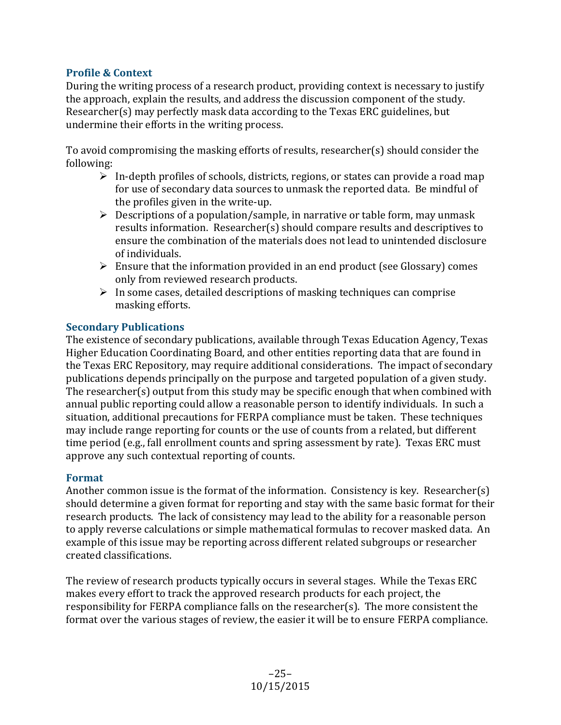## **Profile & Context**

During the writing process of a research product, providing context is necessary to justify the approach, explain the results, and address the discussion component of the study. Researcher(s) may perfectly mask data according to the Texas ERC guidelines, but undermine their efforts in the writing process.

To avoid compromising the masking efforts of results, researcher(s) should consider the following: 

- $\triangleright$  In-depth profiles of schools, districts, regions, or states can provide a road map for use of secondary data sources to unmask the reported data. Be mindful of the profiles given in the write-up.
- $\triangleright$  Descriptions of a population/sample, in narrative or table form, may unmask results information. Researcher(s) should compare results and descriptives to ensure the combination of the materials does not lead to unintended disclosure of individuals.
- $\triangleright$  Ensure that the information provided in an end product (see Glossary) comes only from reviewed research products.
- $\triangleright$  In some cases, detailed descriptions of masking techniques can comprise masking efforts.

## **Secondary Publications**

The existence of secondary publications, available through Texas Education Agency, Texas Higher Education Coordinating Board, and other entities reporting data that are found in the Texas ERC Repository, may require additional considerations. The impact of secondary publications depends principally on the purpose and targeted population of a given study. The researcher(s) output from this study may be specific enough that when combined with annual public reporting could allow a reasonable person to identify individuals. In such a situation, additional precautions for FERPA compliance must be taken. These techniques may include range reporting for counts or the use of counts from a related, but different time period (e.g., fall enrollment counts and spring assessment by rate). Texas ERC must approve any such contextual reporting of counts.

#### **Format**

Another common issue is the format of the information. Consistency is key. Researcher(s) should determine a given format for reporting and stay with the same basic format for their research products. The lack of consistency may lead to the ability for a reasonable person to apply reverse calculations or simple mathematical formulas to recover masked data. An example of this issue may be reporting across different related subgroups or researcher created classifications. 

The review of research products typically occurs in several stages. While the Texas ERC makes every effort to track the approved research products for each project, the responsibility for FERPA compliance falls on the researcher(s). The more consistent the format over the various stages of review, the easier it will be to ensure FERPA compliance.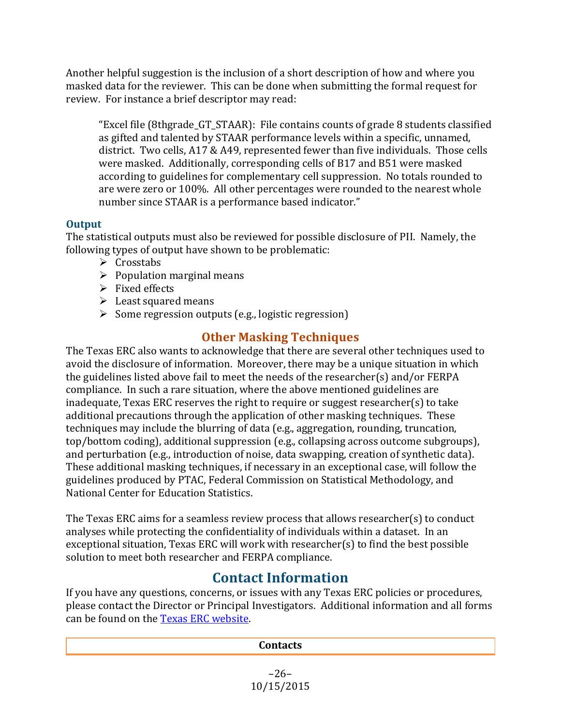Another helpful suggestion is the inclusion of a short description of how and where you masked data for the reviewer. This can be done when submitting the formal request for review. For instance a brief descriptor may read:

"Excel file  $(8thgrade_GT_STAAR)$ : File contains counts of grade  $8$  students classified as gifted and talented by STAAR performance levels within a specific, unnamed, district. Two cells, A17 & A49, represented fewer than five individuals. Those cells were masked. Additionally, corresponding cells of B17 and B51 were masked according to guidelines for complementary cell suppression. No totals rounded to are were zero or 100%. All other percentages were rounded to the nearest whole number since STAAR is a performance based indicator."

## **Output**

The statistical outputs must also be reviewed for possible disclosure of PII. Namely, the following types of output have shown to be problematic:

- $\triangleright$  Crosstabs
- $\triangleright$  Population marginal means
- $\triangleright$  Fixed effects
- $\blacktriangleright$  Least squared means
- $\triangleright$  Some regression outputs (e.g., logistic regression)

## **Other Masking Techniques**

The Texas ERC also wants to acknowledge that there are several other techniques used to avoid the disclosure of information. Moreover, there may be a unique situation in which the guidelines listed above fail to meet the needs of the researcher(s) and/or  $FERPA$ compliance. In such a rare situation, where the above mentioned guidelines are inadequate, Texas ERC reserves the right to require or suggest researcher(s) to take additional precautions through the application of other masking techniques. These techniques may include the blurring of data (e.g., aggregation, rounding, truncation, top/bottom coding), additional suppression (e.g., collapsing across outcome subgroups), and perturbation (e.g., introduction of noise, data swapping, creation of synthetic data). These additional masking techniques, if necessary in an exceptional case, will follow the guidelines produced by PTAC, Federal Commission on Statistical Methodology, and National Center for Education Statistics.

The Texas ERC aims for a seamless review process that allows researcher(s) to conduct analyses while protecting the confidentiality of individuals within a dataset. In an exceptional situation, Texas ERC will work with researcher(s) to find the best possible solution to meet both researcher and FERPA compliance.

## **Contact Information**

If you have any questions, concerns, or issues with any Texas ERC policies or procedures, please contact the Director or Principal Investigators. Additional information and all forms can be found on the Texas ERC website.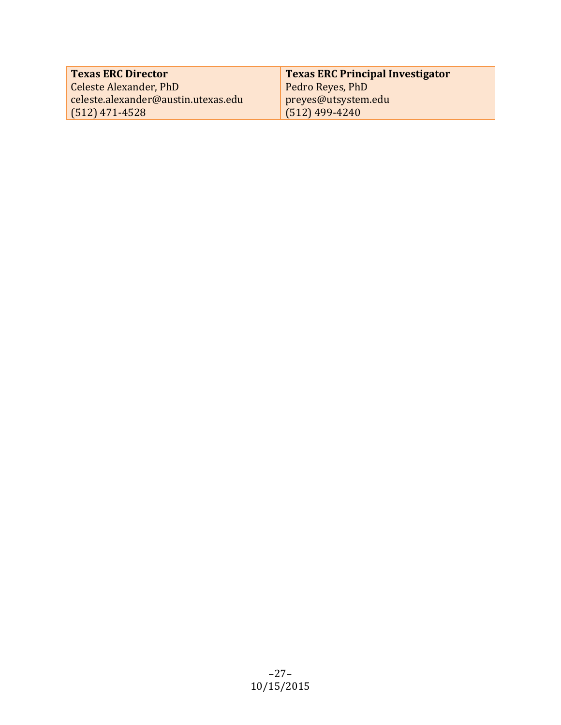| <b>Texas ERC Director</b>           | <b>Texas ERC Principal Investigator</b> |
|-------------------------------------|-----------------------------------------|
| Celeste Alexander, PhD              | Pedro Reyes, PhD                        |
| celeste.alexander@austin.utexas.edu | preyes@utsystem.edu                     |
| $(512)$ 471-4528                    | $(512)$ 499-4240                        |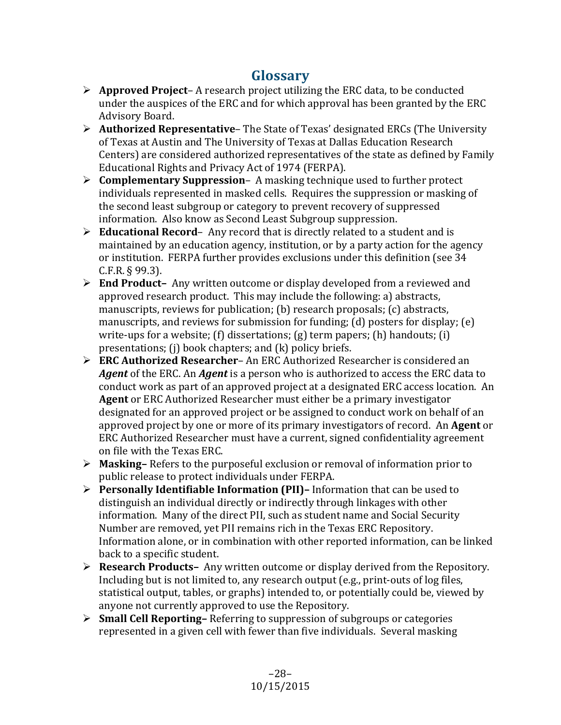## **Glossary**

- $\triangleright$  **Approved Project** A research project utilizing the ERC data, to be conducted under the auspices of the ERC and for which approval has been granted by the ERC Advisory Board.
- **►** Authorized Representative– The State of Texas' designated ERCs (The University of Texas at Austin and The University of Texas at Dallas Education Research Centers) are considered authorized representatives of the state as defined by Family Educational Rights and Privacy Act of 1974 (FERPA).
- $\triangleright$  **Complementary Suppression** A masking technique used to further protect individuals represented in masked cells. Requires the suppression or masking of the second least subgroup or category to prevent recovery of suppressed information. Also know as Second Least Subgroup suppression.
- $\triangleright$  **Educational Record** Any record that is directly related to a student and is maintained by an education agency, institution, or by a party action for the agency or institution. FERPA further provides exclusions under this definition (see 34  $C.F.R. § 99.3$ ).
- **►** End Product- Any written outcome or display developed from a reviewed and approved research product. This may include the following: a) abstracts, manuscripts, reviews for publication;  $(b)$  research proposals;  $(c)$  abstracts, manuscripts, and reviews for submission for funding;  $(d)$  posters for display;  $(e)$ write-ups for a website;  $(f)$  dissertations;  $(g)$  term papers;  $(h)$  handouts;  $(i)$ presentations;  $(i)$  book chapters; and  $(k)$  policy briefs.
- **► ERC Authorized Researcher-** An ERC Authorized Researcher is considered an **Agent** of the ERC. An **Agent** is a person who is authorized to access the ERC data to conduct work as part of an approved project at a designated ERC access location. An **Agent** or ERC Authorized Researcher must either be a primary investigator designated for an approved project or be assigned to conduct work on behalf of an approved project by one or more of its primary investigators of record. An **Agent** or ERC Authorized Researcher must have a current, signed confidentiality agreement on file with the Texas ERC.
- **► Masking–** Refers to the purposeful exclusion or removal of information prior to public release to protect individuals under FERPA.
- **►** Personally Identifiable Information (PII)– Information that can be used to distinguish an individual directly or indirectly through linkages with other information. Many of the direct PII, such as student name and Social Security Number are removed, yet PII remains rich in the Texas ERC Repository. Information alone, or in combination with other reported information, can be linked back to a specific student.
- **► Research Products-** Any written outcome or display derived from the Repository. Including but is not limited to, any research output  $(e.g., print-outs of log files,$ statistical output, tables, or graphs) intended to, or potentially could be, viewed by anyone not currently approved to use the Repository.
- **Small Cell Reporting–** Referring to suppression of subgroups or categories represented in a given cell with fewer than five individuals. Several masking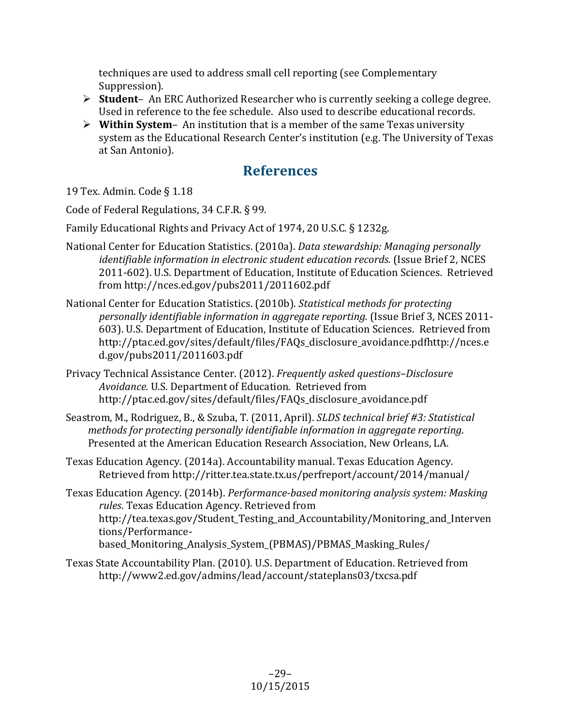techniques are used to address small cell reporting (see Complementary Suppression).

- **►** Student- An ERC Authorized Researcher who is currently seeking a college degree. Used in reference to the fee schedule. Also used to describe educational records.
- $\triangleright$  Within System An institution that is a member of the same Texas university system as the Educational Research Center's institution (e.g. The University of Texas at San Antonio).

## **References**

19 Tex. Admin. Code § 1.18

Code of Federal Regulations, 34 C.F.R. § 99.

Family Educational Rights and Privacy Act of 1974, 20 U.S.C. § 1232g.

- National Center for Education Statistics. (2010a). *Data stewardship: Managing personally identifiable information in electronic student education records.* (Issue Brief 2, NCES 2011-602). U.S. Department of Education, Institute of Education Sciences. Retrieved from http://nces.ed.gov/pubs2011/2011602.pdf
- National Center for Education Statistics. (2010b). *Statistical methods for protecting* personally *identifiable information in aggregate reporting.* (Issue Brief 3, NCES 2011-603). U.S. Department of Education, Institute of Education Sciences. Retrieved from http://ptac.ed.gov/sites/default/files/FAQs\_disclosure\_avoidance.pdfhttp://nces.e d.gov/pubs2011/2011603.pdf
- Privacy Technical Assistance Center. (2012). *Frequently asked questions–Disclosure*  Avoidance. U.S. Department of Education. Retrieved from http://ptac.ed.gov/sites/default/files/FAQs\_disclosure\_avoidance.pdf
- Seastrom, M., Rodriguez, B., & Szuba, T. (2011, April). *SLDS technical brief #3: Statistical methods for protecting personally identifiable information in aggregate reporting.* Presented at the American Education Research Association, New Orleans, LA.
- Texas Education Agency. (2014a). Accountability manual. Texas Education Agency. Retrieved from http://ritter.tea.state.tx.us/perfreport/account/2014/manual/
- Texas Education Agency. (2014b). *Performance-based monitoring analysis system: Masking rules*. Texas Education Agency. Retrieved from http://tea.texas.gov/Student Testing and Accountability/Monitoring and Interven tions/Performancebased Monitoring Analysis System (PBMAS)/PBMAS Masking Rules/
- Texas State Accountability Plan. (2010). U.S. Department of Education. Retrieved from http://www2.ed.gov/admins/lead/account/stateplans03/txcsa.pdf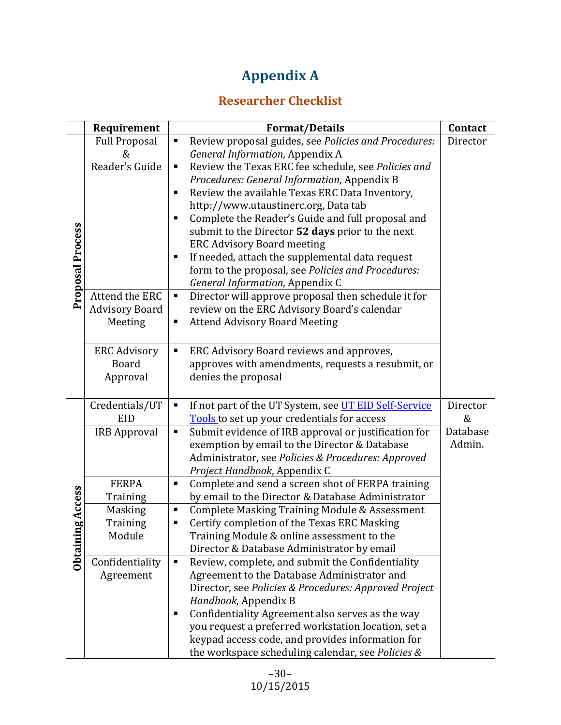## **Appendix A**

## **Researcher Checklist**

| Requirement                     |                                                               | <b>Format/Details</b>                                                                                                                                                                                                                                                                                                                                                                                                                                                                                                                                                                                 | Contact            |
|---------------------------------|---------------------------------------------------------------|-------------------------------------------------------------------------------------------------------------------------------------------------------------------------------------------------------------------------------------------------------------------------------------------------------------------------------------------------------------------------------------------------------------------------------------------------------------------------------------------------------------------------------------------------------------------------------------------------------|--------------------|
| <b>Proposal Process</b>         | <b>Full Proposal</b><br>&<br>Reader's Guide<br>Attend the ERC | Review proposal guides, see Policies and Procedures:<br>п<br>General Information, Appendix A<br>Review the Texas ERC fee schedule, see Policies and<br>п<br>Procedures: General Information, Appendix B<br>Review the available Texas ERC Data Inventory,<br>٠<br>http://www.utaustinerc.org, Data tab<br>Complete the Reader's Guide and full proposal and<br>submit to the Director 52 days prior to the next<br><b>ERC Advisory Board meeting</b><br>If needed, attach the supplemental data request<br>п<br>form to the proposal, see Policies and Procedures:<br>General Information, Appendix C | Director           |
|                                 | <b>Advisory Board</b><br>Meeting                              | Director will approve proposal then schedule it for<br>п<br>review on the ERC Advisory Board's calendar<br><b>Attend Advisory Board Meeting</b><br>п                                                                                                                                                                                                                                                                                                                                                                                                                                                  |                    |
|                                 | <b>ERC Advisory</b><br><b>Board</b><br>Approval               | ERC Advisory Board reviews and approves,<br>٠<br>approves with amendments, requests a resubmit, or<br>denies the proposal                                                                                                                                                                                                                                                                                                                                                                                                                                                                             |                    |
|                                 | Credentials/UT<br>EID                                         | If not part of the UT System, see UT EID Self-Service<br>п<br>Tools to set up your credentials for access                                                                                                                                                                                                                                                                                                                                                                                                                                                                                             | Director<br>&      |
|                                 | <b>IRB Approval</b>                                           | Submit evidence of IRB approval or justification for<br>Ξ<br>exemption by email to the Director & Database<br>Administrator, see Policies & Procedures: Approved<br>Project Handbook, Appendix C                                                                                                                                                                                                                                                                                                                                                                                                      | Database<br>Admin. |
|                                 | <b>FERPA</b><br>Training                                      | Complete and send a screen shot of FERPA training<br>п<br>by email to the Director & Database Administrator                                                                                                                                                                                                                                                                                                                                                                                                                                                                                           |                    |
| Access<br>Ō0<br><b>Obtainin</b> | <b>Masking</b><br>Training<br>Module                          | Complete Masking Training Module & Assessment<br>٠<br>Certify completion of the Texas ERC Masking<br>Training Module & online assessment to the<br>Director & Database Administrator by email                                                                                                                                                                                                                                                                                                                                                                                                         |                    |
|                                 | Confidentiality<br>Agreement                                  | Review, complete, and submit the Confidentiality<br>٠<br>Agreement to the Database Administrator and<br>Director, see Policies & Procedures: Approved Project<br>Handbook, Appendix B<br>Confidentiality Agreement also serves as the way<br>you request a preferred workstation location, set a<br>keypad access code, and provides information for<br>the workspace scheduling calendar, see Policies &                                                                                                                                                                                             |                    |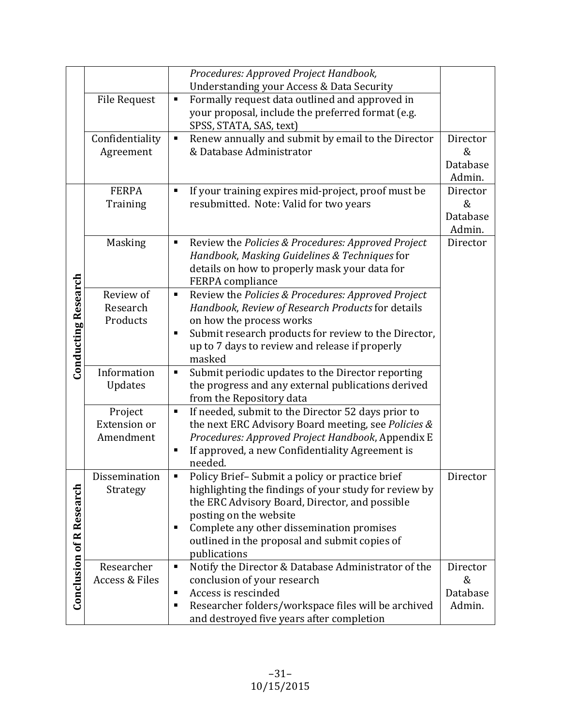|                                 |                                         | Procedures: Approved Project Handbook,                               |               |
|---------------------------------|-----------------------------------------|----------------------------------------------------------------------|---------------|
|                                 |                                         | Understanding your Access & Data Security                            |               |
|                                 | <b>File Request</b>                     | Formally request data outlined and approved in<br>$\blacksquare$     |               |
|                                 |                                         | your proposal, include the preferred format (e.g.                    |               |
|                                 |                                         | SPSS, STATA, SAS, text)                                              |               |
|                                 | Confidentiality                         | Renew annually and submit by email to the Director<br>$\blacksquare$ | Director      |
|                                 | Agreement                               | & Database Administrator                                             | &             |
|                                 |                                         |                                                                      | Database      |
|                                 |                                         |                                                                      | Admin.        |
|                                 | <b>FERPA</b>                            | If your training expires mid-project, proof must be<br>٠             | Director      |
|                                 | Training                                | resubmitted. Note: Valid for two years                               | &             |
|                                 |                                         |                                                                      | Database      |
|                                 |                                         |                                                                      | Admin.        |
|                                 | <b>Masking</b>                          | Review the Policies & Procedures: Approved Project<br>٠              | Director      |
|                                 |                                         | Handbook, Masking Guidelines & Techniques for                        |               |
|                                 |                                         | details on how to properly mask your data for                        |               |
|                                 |                                         | FERPA compliance                                                     |               |
|                                 | Review of                               | Review the Policies & Procedures: Approved Project<br>Ξ              |               |
|                                 | Research                                | Handbook, Review of Research Products for details                    |               |
|                                 | Products                                | on how the process works                                             |               |
|                                 |                                         | Submit research products for review to the Director,<br>П            |               |
|                                 |                                         | up to 7 days to review and release if properly                       |               |
| <b>Conducting Research</b>      |                                         | masked                                                               |               |
|                                 | Information                             | Submit periodic updates to the Director reporting<br>٠               |               |
|                                 | Updates                                 | the progress and any external publications derived                   |               |
|                                 |                                         | from the Repository data                                             |               |
|                                 | Project                                 | If needed, submit to the Director 52 days prior to<br>п              |               |
|                                 | <b>Extension or</b>                     | the next ERC Advisory Board meeting, see Policies &                  |               |
|                                 | Amendment                               | Procedures: Approved Project Handbook, Appendix E                    |               |
|                                 |                                         | If approved, a new Confidentiality Agreement is<br>п                 |               |
|                                 |                                         | needed.                                                              |               |
|                                 | Dissemination                           | Policy Brief-Submit a policy or practice brief                       | Director      |
|                                 | Strategy                                | highlighting the findings of your study for review by                |               |
|                                 |                                         | the ERC Advisory Board, Director, and possible                       |               |
|                                 |                                         | posting on the website                                               |               |
|                                 |                                         | Complete any other dissemination promises<br>п                       |               |
|                                 |                                         | outlined in the proposal and submit copies of                        |               |
| <b>Conclusion of R Research</b> |                                         | publications<br>$\blacksquare$                                       |               |
|                                 | Researcher<br><b>Access &amp; Files</b> | Notify the Director & Database Administrator of the                  | Director<br>& |
|                                 |                                         | conclusion of your research                                          |               |
|                                 |                                         | Access is rescinded<br>п                                             | Database      |
|                                 |                                         | Researcher folders/workspace files will be archived<br>п             | Admin.        |
|                                 |                                         | and destroyed five years after completion                            |               |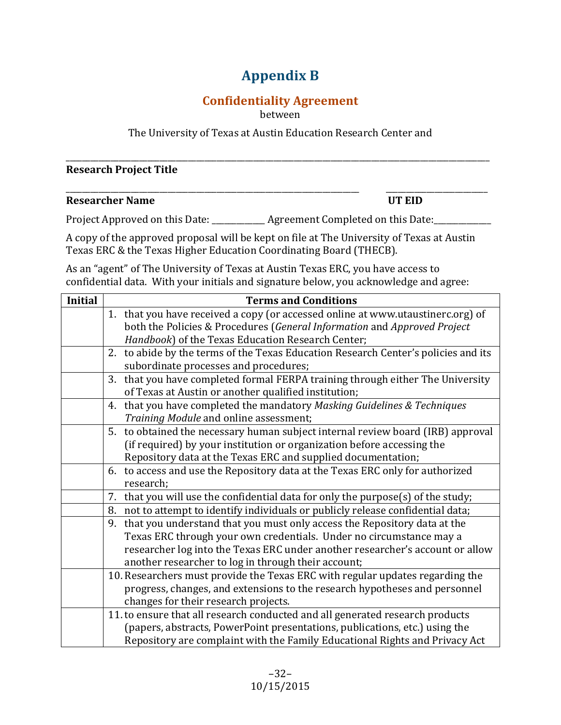## **Appendix B**

## **Confidentiality Agreement**

between

The University of Texas at Austin Education Research Center and

\_\_\_\_\_\_\_\_\_\_\_\_\_\_\_\_\_\_\_\_\_\_\_\_\_\_\_\_\_\_\_\_\_\_\_\_\_\_\_\_\_\_\_\_\_\_\_\_\_\_\_\_\_\_\_\_\_\_\_\_\_\_\_\_\_\_\_\_\_\_\_\_\_\_\_\_\_\_\_\_\_\_\_\_\_\_\_\_\_\_\_\_\_\_\_\_\_\_\_\_\_\_\_\_

\_\_\_\_\_\_\_\_\_\_\_\_\_\_\_\_\_\_\_\_\_\_\_\_\_\_\_\_\_\_\_\_\_\_\_\_\_\_\_\_\_\_\_\_\_\_\_\_\_\_\_\_\_\_\_\_\_\_\_\_\_\_\_\_\_\_\_\_\_\_\_\_ \_\_\_\_\_\_\_\_\_\_\_\_\_\_\_\_\_\_\_\_\_\_\_\_\_

#### **Research Project Title**

#### **Researcher Name UT EID**

Project Approved on this Date: \_\_\_\_\_\_\_\_\_\_\_\_ Agreement Completed on this Date: \_\_\_\_\_\_\_\_\_\_\_\_

A copy of the approved proposal will be kept on file at The University of Texas at Austin Texas ERC & the Texas Higher Education Coordinating Board (THECB).

As an "agent" of The University of Texas at Austin Texas ERC, you have access to confidential data. With your initials and signature below, you acknowledge and agree:

| <b>Initial</b> | <b>Terms and Conditions</b>                                                         |
|----------------|-------------------------------------------------------------------------------------|
|                | 1. that you have received a copy (or accessed online at www.utaustinerc.org) of     |
|                | both the Policies & Procedures (General Information and Approved Project            |
|                | Handbook) of the Texas Education Research Center;                                   |
|                | 2. to abide by the terms of the Texas Education Research Center's policies and its  |
|                | subordinate processes and procedures;                                               |
|                | 3. that you have completed formal FERPA training through either The University      |
|                | of Texas at Austin or another qualified institution;                                |
|                | 4. that you have completed the mandatory Masking Guidelines & Techniques            |
|                | Training Module and online assessment;                                              |
|                | 5. to obtained the necessary human subject internal review board (IRB) approval     |
|                | (if required) by your institution or organization before accessing the              |
|                | Repository data at the Texas ERC and supplied documentation;                        |
|                | 6. to access and use the Repository data at the Texas ERC only for authorized       |
|                | research;                                                                           |
|                | that you will use the confidential data for only the purpose(s) of the study;<br>7. |
|                | 8. not to attempt to identify individuals or publicly release confidential data;    |
|                | that you understand that you must only access the Repository data at the<br>9.      |
|                | Texas ERC through your own credentials. Under no circumstance may a                 |
|                | researcher log into the Texas ERC under another researcher's account or allow       |
|                | another researcher to log in through their account;                                 |
|                | 10. Researchers must provide the Texas ERC with regular updates regarding the       |
|                | progress, changes, and extensions to the research hypotheses and personnel          |
|                | changes for their research projects.                                                |
|                | 11. to ensure that all research conducted and all generated research products       |
|                | (papers, abstracts, PowerPoint presentations, publications, etc.) using the         |
|                | Repository are complaint with the Family Educational Rights and Privacy Act         |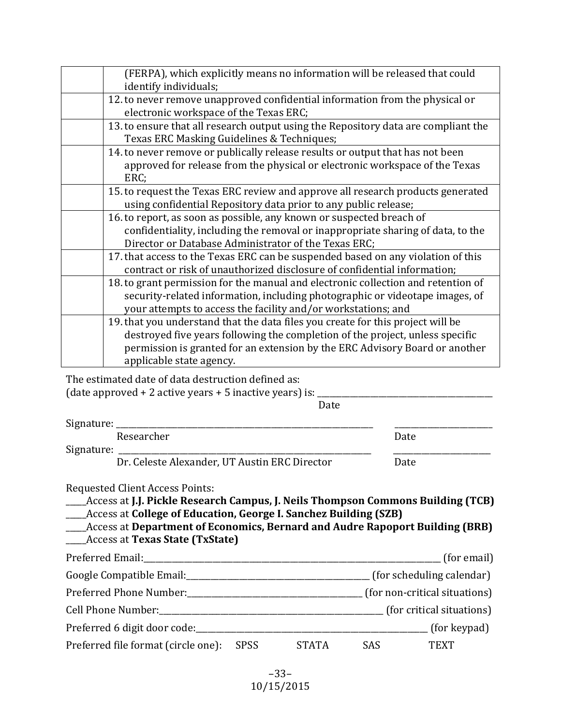| (FERPA), which explicitly means no information will be released that could<br>identify individuals;                                                                                                                                                                         |
|-----------------------------------------------------------------------------------------------------------------------------------------------------------------------------------------------------------------------------------------------------------------------------|
| 12. to never remove unapproved confidential information from the physical or<br>electronic workspace of the Texas ERC;                                                                                                                                                      |
| 13. to ensure that all research output using the Repository data are compliant the<br>Texas ERC Masking Guidelines & Techniques;                                                                                                                                            |
| 14. to never remove or publically release results or output that has not been<br>approved for release from the physical or electronic workspace of the Texas<br>ERC;                                                                                                        |
| 15. to request the Texas ERC review and approve all research products generated<br>using confidential Repository data prior to any public release;                                                                                                                          |
| 16. to report, as soon as possible, any known or suspected breach of<br>confidentiality, including the removal or inappropriate sharing of data, to the<br>Director or Database Administrator of the Texas ERC;                                                             |
| 17. that access to the Texas ERC can be suspended based on any violation of this<br>contract or risk of unauthorized disclosure of confidential information;                                                                                                                |
| 18. to grant permission for the manual and electronic collection and retention of<br>security-related information, including photographic or videotape images, of<br>your attempts to access the facility and/or workstations; and                                          |
| 19. that you understand that the data files you create for this project will be<br>destroyed five years following the completion of the project, unless specific<br>permission is granted for an extension by the ERC Advisory Board or another<br>applicable state agency. |

The estimated date of data destruction defined as:

(date approved  $+2$  active years  $+5$  inactive years) is:

 Date

Signature:

Researcher **Date** Signature: \_

Dr. Celeste Alexander, UT Austin ERC Director Date

Requested Client Access Points:

\_\_\_\_\_Access at **J.J. Pickle Research Campus, J. Neils Thompson Commons Building (TCB) Access at College of Education, George I. Sanchez Building (SZB)** 

**\_\_\_\_Access at Department of Economics, Bernard and Audre Rapoport Building (BRB)** \_\_\_\_\_Access at **Texas State (TxState)**

| Preferred Email:                    |             |              |            | (for email)                   |
|-------------------------------------|-------------|--------------|------------|-------------------------------|
| Google Compatible Email:            |             |              |            | (for scheduling calendar)     |
|                                     |             |              |            | (for non-critical situations) |
| Cell Phone Number:                  |             |              |            | (for critical situations)     |
| Preferred 6 digit door code:        |             |              |            | (for keypad)                  |
| Preferred file format (circle one): | <b>SPSS</b> | <b>STATA</b> | <b>SAS</b> | <b>TEXT</b>                   |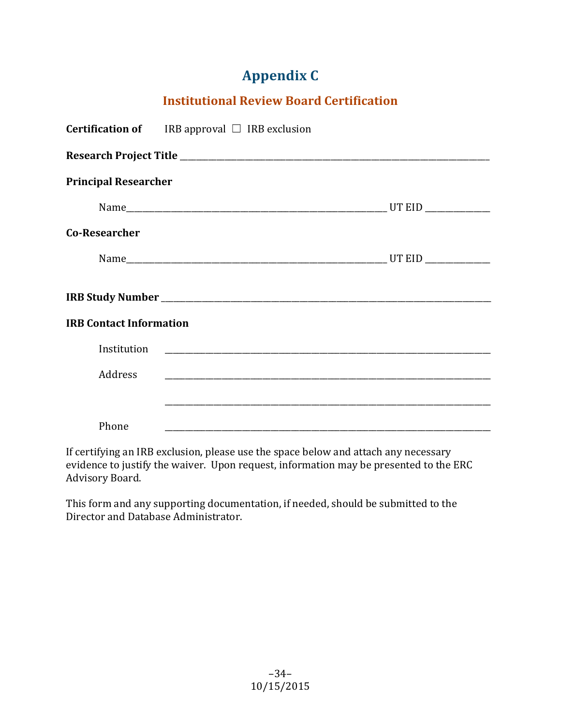## **Appendix C**

## **Institutional Review Board Certification**

|                                | <b>Certification of</b> IRB approval $\Box$ IRB exclusion |  |  |  |  |  |
|--------------------------------|-----------------------------------------------------------|--|--|--|--|--|
|                                |                                                           |  |  |  |  |  |
| <b>Principal Researcher</b>    |                                                           |  |  |  |  |  |
|                                |                                                           |  |  |  |  |  |
| <b>Co-Researcher</b>           |                                                           |  |  |  |  |  |
|                                |                                                           |  |  |  |  |  |
|                                |                                                           |  |  |  |  |  |
| <b>IRB Contact Information</b> |                                                           |  |  |  |  |  |
| Institution                    |                                                           |  |  |  |  |  |
| Address                        |                                                           |  |  |  |  |  |
|                                |                                                           |  |  |  |  |  |
| Phone                          |                                                           |  |  |  |  |  |

If certifying an IRB exclusion, please use the space below and attach any necessary evidence to justify the waiver. Upon request, information may be presented to the ERC Advisory Board.

This form and any supporting documentation, if needed, should be submitted to the Director and Database Administrator.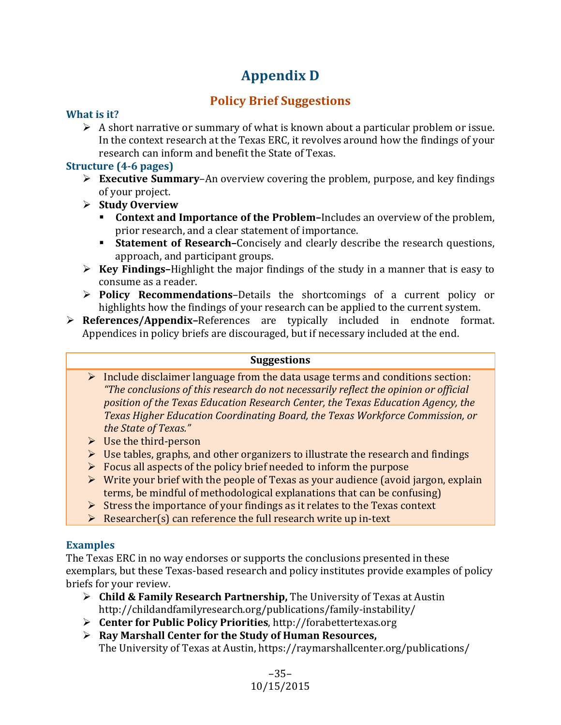## **Appendix D**

## **Policy Brief Suggestions**

### **What is it?**

 $\triangleright$  A short narrative or summary of what is known about a particular problem or issue. In the context research at the Texas ERC, it revolves around how the findings of your research can inform and benefit the State of Texas.

## **Structure (4-6 pages)**

- $\triangleright$  **Executive Summary–An** overview covering the problem, purpose, and key findings of your project.
- Ø **Study Overview**
	- **Context and Importance of the Problem-**Includes an overview of the problem, prior research, and a clear statement of importance.
	- **Statement of Research–**Concisely and clearly describe the research questions, approach, and participant groups.
- $\triangleright$  **Key Findings**–Highlight the major findings of the study in a manner that is easy to consume as a reader.
- **► Policy Recommendations-Details the shortcomings of a current policy or** highlights how the findings of your research can be applied to the current system.
- Ø **References/Appendix–**References are typically included in endnote format. Appendices in policy briefs are discouraged, but if necessary included at the end.

#### **Suggestions**

- $\triangleright$  Include disclaimer language from the data usage terms and conditions section: *"The conclusions of this research do not necessarily reflect the opinion or official position of the Texas Education Research Center, the Texas Education Agency, the Texas Higher Education Coordinating Board, the Texas Workforce Commission, or the State of Texas."*
- $\triangleright$  Use the third-person
- $\triangleright$  Use tables, graphs, and other organizers to illustrate the research and findings
- $\triangleright$  Focus all aspects of the policy brief needed to inform the purpose
- $\triangleright$  Write your brief with the people of Texas as your audience (avoid jargon, explain terms, be mindful of methodological explanations that can be confusing)
- $\triangleright$  Stress the importance of your findings as it relates to the Texas context
- $\triangleright$  Researcher(s) can reference the full research write up in-text

## **Examples**

The Texas ERC in no way endorses or supports the conclusions presented in these exemplars, but these Texas-based research and policy institutes provide examples of policy briefs for your review.

- **►** Child & Family Research Partnership, The University of Texas at Austin http://childandfamilyresearch.org/publications/family-instability/
- **► Center for Public Policy Priorities**, http://forabettertexas.org
- **►** Ray Marshall Center for the Study of Human Resources, The University of Texas at Austin, https://raymarshallcenter.org/publications/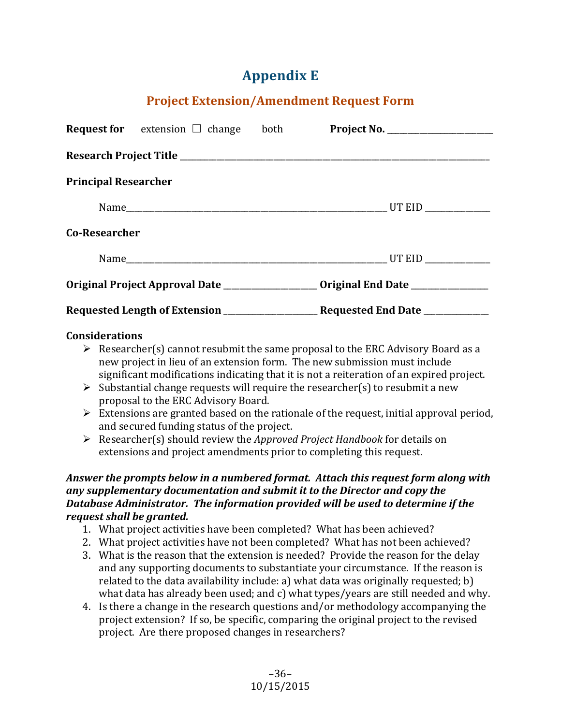## **Appendix E**

## **Project Extension/Amendment Request Form**

|                             | <b>Request for</b> extension $\Box$ change both |  |                                 |  |  |  |  |
|-----------------------------|-------------------------------------------------|--|---------------------------------|--|--|--|--|
|                             |                                                 |  |                                 |  |  |  |  |
| <b>Principal Researcher</b> |                                                 |  |                                 |  |  |  |  |
|                             |                                                 |  |                                 |  |  |  |  |
| <b>Co-Researcher</b>        |                                                 |  |                                 |  |  |  |  |
|                             |                                                 |  |                                 |  |  |  |  |
|                             |                                                 |  |                                 |  |  |  |  |
|                             |                                                 |  | Requested End Date ____________ |  |  |  |  |

#### **Considerations**

- $\triangleright$  Researcher(s) cannot resubmit the same proposal to the ERC Advisory Board as a new project in lieu of an extension form. The new submission must include significant modifications indicating that it is not a reiteration of an expired project.
- $\triangleright$  Substantial change requests will require the researcher(s) to resubmit a new proposal to the ERC Advisory Board.
- $\triangleright$  Extensions are granted based on the rationale of the request, initial approval period, and secured funding status of the project.
- Ø Researcher(s) should review the *Approved Project Handbook* for details on extensions and project amendments prior to completing this request.

#### *Answer the prompts below in a numbered format. Attach this request form along with any* supplementary documentation and submit it to the Director and copy the **Database Administrator.** The information provided will be used to determine if the *request shall be granted.*

- 1. What project activities have been completed? What has been achieved?
- 2. What project activities have not been completed? What has not been achieved?
- 3. What is the reason that the extension is needed? Provide the reason for the delay and any supporting documents to substantiate your circumstance. If the reason is related to the data availability include: a) what data was originally requested;  $b$ ) what data has already been used; and c) what types/years are still needed and why.
- 4. Is there a change in the research questions and/or methodology accompanying the project extension? If so, be specific, comparing the original project to the revised project. Are there proposed changes in researchers?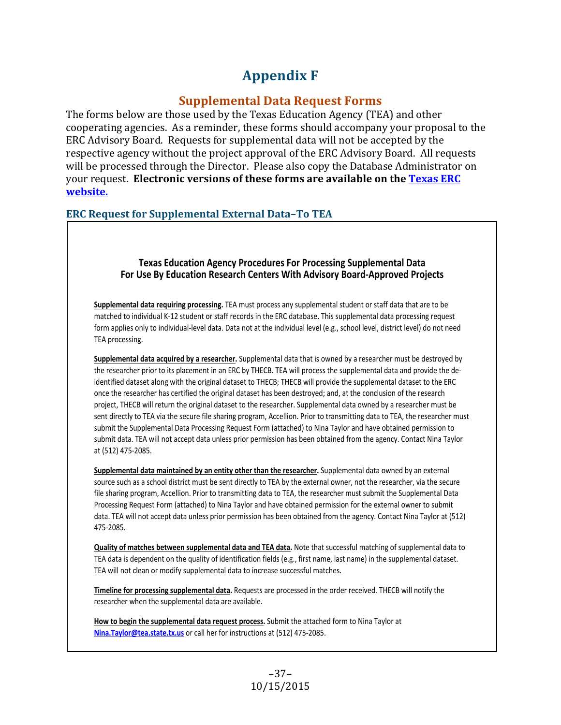## **Appendix F**

## **Supplemental Data Request Forms**

The forms below are those used by the Texas Education Agency (TEA) and other cooperating agencies. As a reminder, these forms should accompany your proposal to the ERC Advisory Board. Requests for supplemental data will not be accepted by the respective agency without the project approval of the ERC Advisory Board. All requests will be processed through the Director. Please also copy the Database Administrator on your request. Electronic versions of these forms are available on the **Texas ERC website.**

### **ERC Request for Supplemental External Data-To TEA**

#### **Texas Education Agency Procedures For Processing Supplemental Data For Use By Education Research Centers With Advisory Board-Approved Projects**

**Supplemental data requiring processing.** TEA must process any supplemental student or staff data that are to be matched to individual K-12 student or staff records in the ERC database. This supplemental data processing request form applies only to individual-level data. Data not at the individual level (e.g., school level, district level) do not need TEA processing.

**Supplemental data acquired by a researcher.** Supplemental data that is owned by a researcher must be destroyed by the researcher prior to its placement in an ERC by THECB. TEA will process the supplemental data and provide the deidentified dataset along with the original dataset to THECB; THECB will provide the supplemental dataset to the ERC once the researcher has certified the original dataset has been destroyed; and, at the conclusion of the research project, THECB will return the original dataset to the researcher. Supplemental data owned by a researcher must be sent directly to TEA via the secure file sharing program, Accellion. Prior to transmitting data to TEA, the researcher must submit the Supplemental Data Processing Request Form (attached) to Nina Taylor and have obtained permission to submit data. TEA will not accept data unless prior permission has been obtained from the agency. Contact Nina Taylor at (512) 475-2085.

**Supplemental data maintained by an entity other than the researcher.** Supplemental data owned by an external source such as a school district must be sent directly to TEA by the external owner, not the researcher, via the secure file sharing program, Accellion. Prior to transmitting data to TEA, the researcher must submit the Supplemental Data Processing Request Form (attached) to Nina Taylor and have obtained permission for the external owner to submit data. TEA will not accept data unless prior permission has been obtained from the agency. Contact Nina Taylor at (512) 475-2085.

**Quality of matches between supplemental data and TEA data.** Note that successful matching of supplemental data to TEA data is dependent on the quality of identification fields (e.g., first name, last name) in the supplemental dataset. TEA will not clean or modify supplemental data to increase successful matches.

**Timeline for processing supplemental data.** Requests are processed in the order received. THECB will notify the researcher when the supplemental data are available.

**How to begin the supplemental data request process.** Submit the attached form to Nina Taylor at **Nina.Taylor@tea.state.tx.us** or call her for instructions at (512) 475-2085.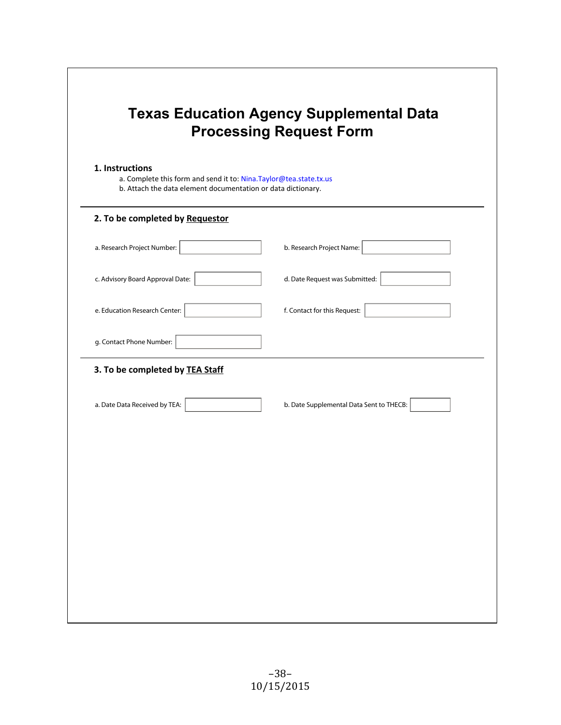| b. Attach the data element documentation or data dictionary. | a. Complete this form and send it to: Nina.Taylor@tea.state.tx.us |
|--------------------------------------------------------------|-------------------------------------------------------------------|
| 2. To be completed by Requestor                              |                                                                   |
| a. Research Project Number:                                  | b. Research Project Name:                                         |
| c. Advisory Board Approval Date:                             | d. Date Request was Submitted:                                    |
| e. Education Research Center:                                | f. Contact for this Request:                                      |
| g. Contact Phone Number:                                     |                                                                   |
| 3. To be completed by TEA Staff                              |                                                                   |
| a. Date Data Received by TEA:                                | b. Date Supplemental Data Sent to THECB:                          |
|                                                              |                                                                   |
|                                                              |                                                                   |
|                                                              |                                                                   |
|                                                              |                                                                   |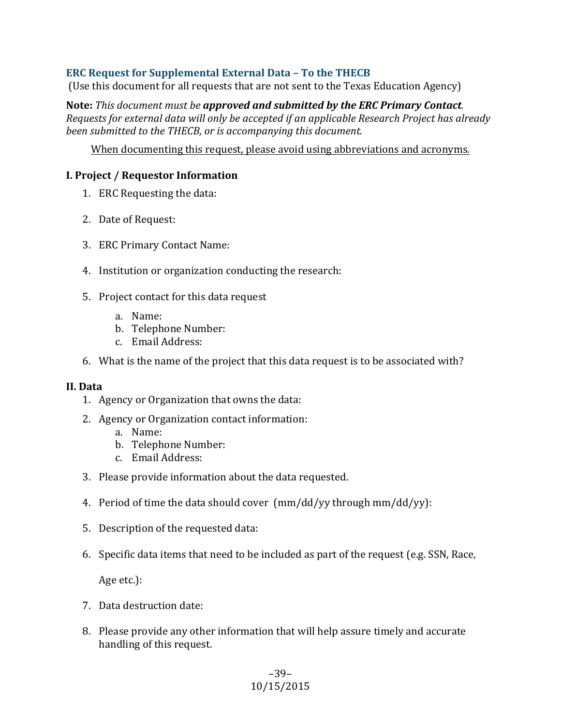### **ERC Request for Supplemental External Data - To the THECB**

(Use this document for all requests that are not sent to the Texas Education Agency)

Note: This document must be approved and submitted by the ERC Primary Contact. *Requests for external data will only be accepted if an applicable Research Project has already been submitted to the THECB, or is accompanying this document.* 

When documenting this request, please avoid using abbreviations and acronyms.

#### **I. Project / Requestor Information**

- 1. ERC Requesting the data:
- 2. Date of Request:
- 3. ERC Primary Contact Name:
- 4. Institution or organization conducting the research:
- 5. Project contact for this data request
	- a. Name:
	- b. Telephone Number:
	- c. Email Address:
- 6. What is the name of the project that this data request is to be associated with?

#### **II. Data**

- 1. Agency or Organization that owns the data:
- 2. Agency or Organization contact information:
	- a. Name:
	- b. Telephone Number:
	- c. Email Address:
- 3. Please provide information about the data requested.
- 4. Period of time the data should cover  $\frac{\text{mm}}{\text{dd}}$  yy through mm/dd/yy):
- 5. Description of the requested data:
- 6. Specific data items that need to be included as part of the request (e.g. SSN, Race,

Age etc.):

- 7. Data destruction date:
- 8. Please provide any other information that will help assure timely and accurate handling of this request.

#### –39– 10/15/2015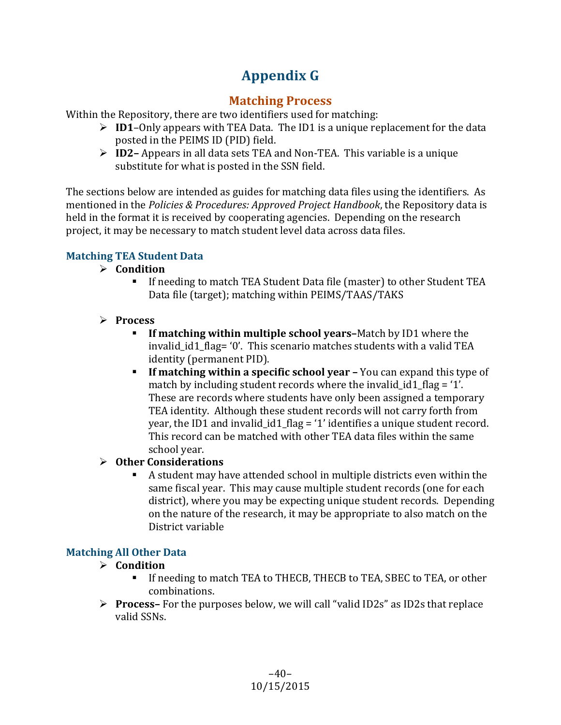## **Appendix G**

## **Matching Process**

Within the Repository, there are two identifiers used for matching:

- $\triangleright$  **ID1**–Only appears with TEA Data. The ID1 is a unique replacement for the data posted in the PEIMS ID (PID) field.
- $\triangleright$  **ID2** Appears in all data sets TEA and Non-TEA. This variable is a unique substitute for what is posted in the SSN field.

The sections below are intended as guides for matching data files using the identifiers. As mentioned in the *Policies & Procedures: Approved Project Handbook*, the Repository data is held in the format it is received by cooperating agencies. Depending on the research project, it may be necessary to match student level data across data files.

## **Matching TEA Student Data**

## Ø **Condition**

- If needing to match TEA Student Data file (master) to other Student TEA Data file (target); matching within PEIMS/TAAS/TAKS
- Ø **Process**
	- **F** If matching within multiple school years–Match by ID1 where the invalid\_id1\_flag= $'0'$ . This scenario matches students with a valid TEA identity (permanent PID).
	- **F** If matching within a specific school year You can expand this type of match by including student records where the invalid id1 flag =  $'1'$ . These are records where students have only been assigned a temporary TEA identity. Although these student records will not carry forth from year, the ID1 and invalid  $id1$  flag = '1' identifies a unique student record. This record can be matched with other TEA data files within the same school vear.

## **▷** Other Considerations

A student may have attended school in multiple districts even within the same fiscal year. This may cause multiple student records (one for each district), where you may be expecting unique student records. Depending on the nature of the research, it may be appropriate to also match on the District variable

## **Matching All Other Data**

## Ø **Condition**

- If needing to match TEA to THECB, THECB to TEA, SBEC to TEA, or other combinations.
- $\triangleright$  **Process** For the purposes below, we will call "valid ID2s" as ID2s that replace valid SSNs.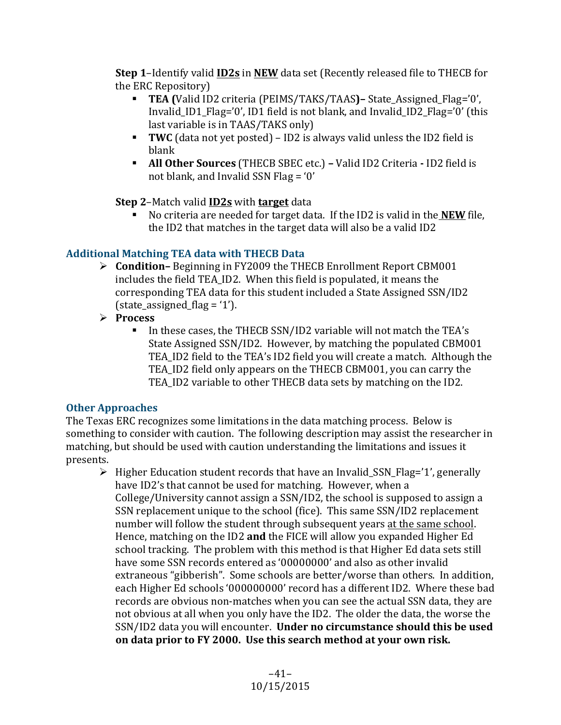**Step 1-Identify valid <b>ID2s** in **NEW** data set (Recently released file to THECB for the ERC Repository)

- **TEA** (Valid ID2 criteria (PEIMS/TAKS/TAAS)– State Assigned Flag='0', Invalid ID1 Flag='0', ID1 field is not blank, and Invalid ID2 Flag='0' (this  $last$  variable is in TAAS/TAKS only)
- **TWC** (data not yet posted) ID2 is always valid unless the ID2 field is blank
- **All Other Sources** (THECB SBEC etc.) Valid ID2 Criteria ID2 field is not blank, and Invalid SSN Flag =  $0'$

**Step 2-Match valid <b>ID2s** with **target** data

**EXECUTE:** No criteria are needed for target data. If the ID2 is valid in the **NEW** file, the ID2 that matches in the target data will also be a valid ID2

## **Additional Matching TEA data with THECB Data**

- **►** Condition–Beginning in FY2009 the THECB Enrollment Report CBM001 includes the field TEA ID2. When this field is populated, it means the corresponding TEA data for this student included a State Assigned SSN/ID2  $(state_ensurelineed_flag = '1').$
- Ø **Process**
	- In these cases, the THECB SSN/ID2 variable will not match the TEA's State Assigned SSN/ID2. However, by matching the populated CBM001 TEA\_ID2 field to the TEA's ID2 field you will create a match. Although the TEA ID2 field only appears on the THECB CBM001, you can carry the TEA\_ID2 variable to other THECB data sets by matching on the ID2.

## **Other Approaches**

The Texas ERC recognizes some limitations in the data matching process. Below is something to consider with caution. The following description may assist the researcher in matching, but should be used with caution understanding the limitations and issues it presents.

 $\triangleright$  Higher Education student records that have an Invalid\_SSN\_Flag='1', generally have ID2's that cannot be used for matching. However, when a College/University cannot assign a SSN/ID2, the school is supposed to assign a SSN replacement unique to the school (fice). This same SSN/ID2 replacement number will follow the student through subsequent years at the same school. Hence, matching on the ID2 and the FICE will allow you expanded Higher Ed school tracking. The problem with this method is that Higher Ed data sets still have some SSN records entered as '00000000' and also as other invalid extraneous "gibberish". Some schools are better/worse than others. In addition, each Higher Ed schools '000000000' record has a different ID2. Where these bad records are obvious non-matches when you can see the actual SSN data, they are not obvious at all when you only have the ID2. The older the data, the worse the SSN/ID2 data you will encounter. **Under no circumstance should this be used** on data prior to FY 2000. Use this search method at your own risk.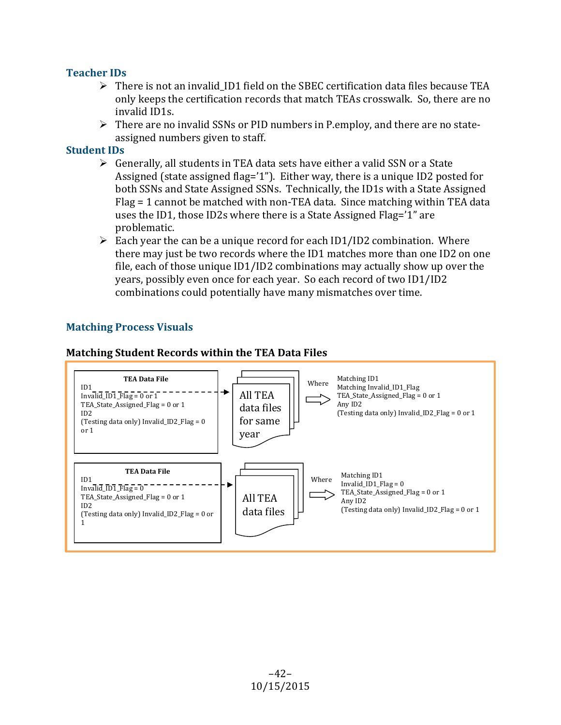### **Teacher IDs**

- $\triangleright$  There is not an invalid\_ID1 field on the SBEC certification data files because TEA only keeps the certification records that match TEAs crosswalk. So, there are no invalid ID1s.
- $\triangleright$  There are no invalid SSNs or PID numbers in P.employ, and there are no stateassigned numbers given to staff.

#### **Student IDs**

- $\triangleright$  Generally, all students in TEA data sets have either a valid SSN or a State Assigned (state assigned flag='1"). Either way, there is a unique ID2 posted for both SSNs and State Assigned SSNs. Technically, the ID1s with a State Assigned Flag = 1 cannot be matched with non-TEA data. Since matching within TEA data uses the ID1, those ID2s where there is a State Assigned Flag='1" are problematic.
- $\triangleright$  Each year the can be a unique record for each ID1/ID2 combination. Where there may just be two records where the ID1 matches more than one ID2 on one file, each of those unique  $ID1/ID2$  combinations may actually show up over the years, possibly even once for each year. So each record of two ID1/ID2 combinations could potentially have many mismatches over time.

## **Matching Process Visuals**



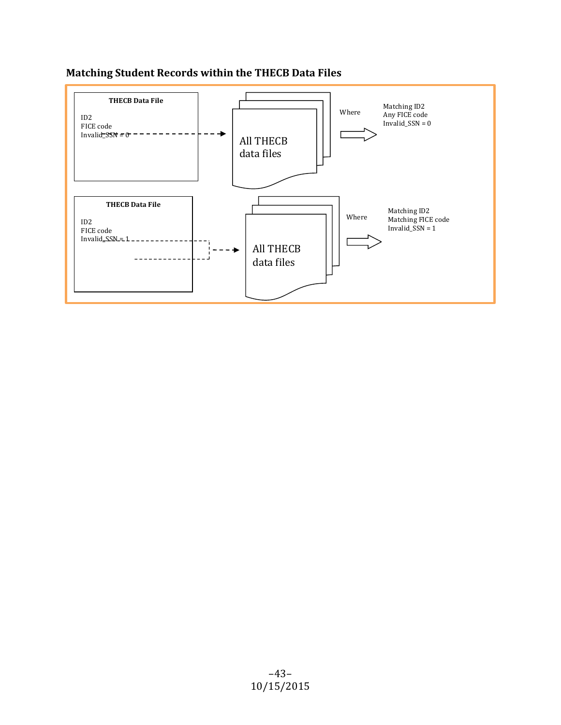## **Matching Student Records within the THECB Data Files**

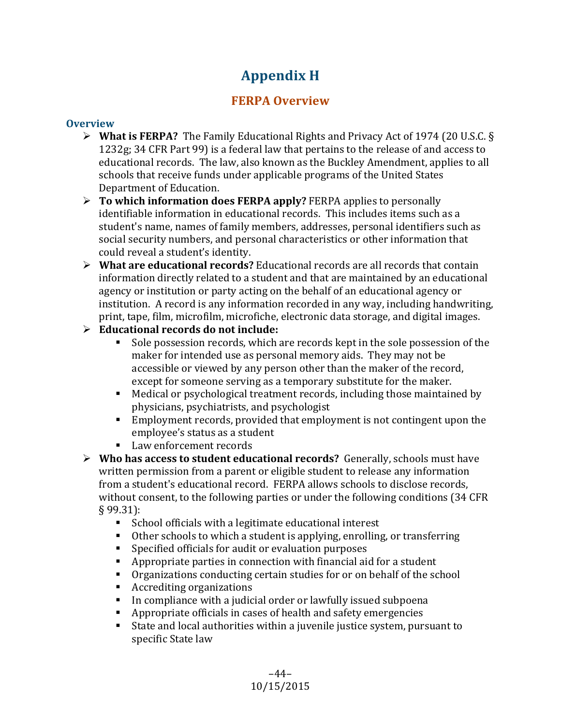## **Appendix H**

## **FERPA Overview**

## **Overview**

- $\triangleright$  **What is FERPA?** The Family Educational Rights and Privacy Act of 1974 (20 U.S.C. § 1232g; 34 CFR Part 99) is a federal law that pertains to the release of and access to educational records. The law, also known as the Buckley Amendment, applies to all schools that receive funds under applicable programs of the United States Department of Education.
- **►** To which information does FERPA apply? FERPA applies to personally identifiable information in educational records. This includes items such as a student's name, names of family members, addresses, personal identifiers such as social security numbers, and personal characteristics or other information that could reveal a student's identity.
- **►** What are educational records? Educational records are all records that contain information directly related to a student and that are maintained by an educational agency or institution or party acting on the behalf of an educational agency or institution. A record is any information recorded in any way, including handwriting, print, tape, film, microfilm, microfiche, electronic data storage, and digital images.
- Ø **Educational records do not include:**
	- Sole possession records, which are records kept in the sole possession of the maker for intended use as personal memory aids. They may not be accessible or viewed by any person other than the maker of the record, except for someone serving as a temporary substitute for the maker.
	- Medical or psychological treatment records, including those maintained by physicians, psychiatrists, and psychologist
	- Employment records, provided that employment is not contingent upon the employee's status as a student
	- Law enforcement records
- **►** Who has access to student educational records? Generally, schools must have written permission from a parent or eligible student to release any information from a student's educational record. FERPA allows schools to disclose records, without consent, to the following parties or under the following conditions (34 CFR) § 99.31):
	- School officials with a legitimate educational interest
	- Other schools to which a student is applying, enrolling, or transferring
	- Specified officials for audit or evaluation purposes
	- **•** Appropriate parties in connection with financial aid for a student
	- Organizations conducting certain studies for or on behalf of the school
	- Accrediting organizations
	- In compliance with a judicial order or lawfully issued subpoena
	- $\blacksquare$  Appropriate officials in cases of health and safety emergencies
	- State and local authorities within a juvenile justice system, pursuant to specific State law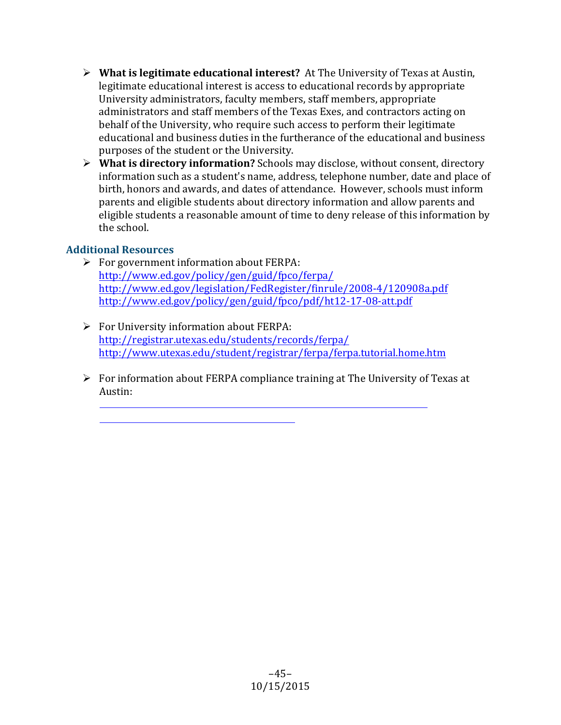- $\triangleright$  **What is legitimate educational interest?** At The University of Texas at Austin, legitimate educational interest is access to educational records by appropriate University administrators, faculty members, staff members, appropriate administrators and staff members of the Texas Exes, and contractors acting on behalf of the University, who require such access to perform their legitimate educational and business duties in the furtherance of the educational and business purposes of the student or the University.
- $\triangleright$  **What is directory information?** Schools may disclose, without consent, directory information such as a student's name, address, telephone number, date and place of birth, honors and awards, and dates of attendance. However, schools must inform parents and eligible students about directory information and allow parents and eligible students a reasonable amount of time to deny release of this information by the school.

## **Additional Resources**

- $\triangleright$  For government information about FERPA: http://www.ed.gov/policy/gen/guid/fpco/ferpa/ http://www.ed.gov/legislation/FedRegister/finrule/2008-4/120908a.pdf http://www.ed.gov/policy/gen/guid/fpco/pdf/ht12-17-08-att.pdf
- $\triangleright$  For University information about FERPA: http://registrar.utexas.edu/students/records/ferpa/ http://www.utexas.edu/student/registrar/ferpa/ferpa.tutorial.home.htm
- $\triangleright$  For information about FERPA compliance training at The University of Texas at Austin: http://www.utexas.edu/compliance/compliance-and-ethics-training/ http://registrar.utexas.edu/staff/training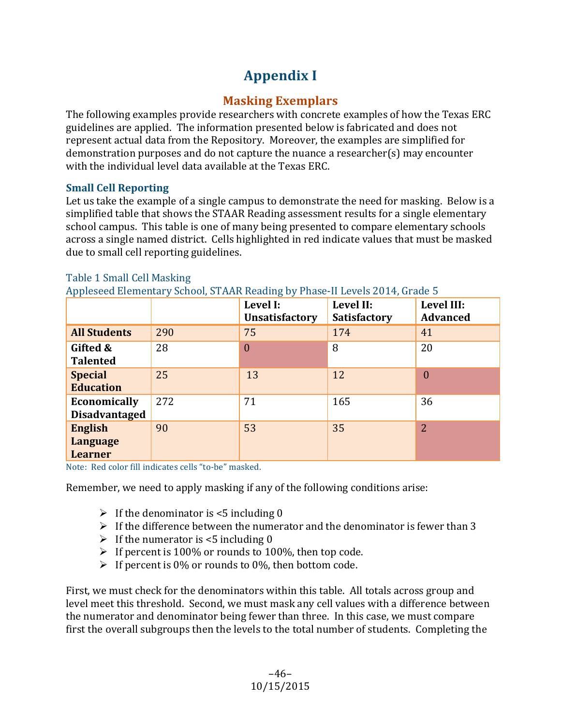## **Appendix I**

## **Masking Exemplars**

The following examples provide researchers with concrete examples of how the Texas ERC guidelines are applied. The information presented below is fabricated and does not represent actual data from the Repository. Moreover, the examples are simplified for demonstration purposes and do not capture the nuance a researcher(s) may encounter with the individual level data available at the Texas ERC.

## **Small Cell Reporting**

Let us take the example of a single campus to demonstrate the need for masking. Below is a simplified table that shows the STAAR Reading assessment results for a single elementary school campus. This table is one of many being presented to compare elementary schools across a single named district. Cells highlighted in red indicate values that must be masked due to small cell reporting guidelines.

|                                                     |     | Level I:<br><b>Unsatisfactory</b> | Level II:<br><b>Satisfactory</b> | Level III:<br><b>Advanced</b> |
|-----------------------------------------------------|-----|-----------------------------------|----------------------------------|-------------------------------|
| <b>All Students</b>                                 | 290 | 75                                | 174                              | 41                            |
| Gifted &<br><b>Talented</b>                         | 28  | 0                                 | 8                                | 20                            |
| <b>Special</b><br><b>Education</b>                  | 25  | 13                                | 12                               | $\overline{0}$                |
| Economically<br><b>Disadvantaged</b>                | 272 | 71                                | 165                              | 36                            |
| <b>English</b><br><b>Language</b><br><b>Learner</b> | 90  | 53                                | 35                               | 2                             |

## Table 1 Small Cell Masking

 $\lambda$ el CTAAD Deeding by Dhase II Levels 2014, Grade  $\overline{\Gamma}$ 

Note: Red color fill indicates cells "to-be" masked.

Remember, we need to apply masking if any of the following conditions arise:

- $\triangleright$  If the denominator is <5 including 0
- $\triangleright$  If the difference between the numerator and the denominator is fewer than 3
- $\triangleright$  If the numerator is <5 including 0
- $\triangleright$  If percent is 100% or rounds to 100%, then top code.
- $\triangleright$  If percent is 0% or rounds to 0%, then bottom code.

First, we must check for the denominators within this table. All totals across group and level meet this threshold. Second, we must mask any cell values with a difference between the numerator and denominator being fewer than three. In this case, we must compare first the overall subgroups then the levels to the total number of students. Completing the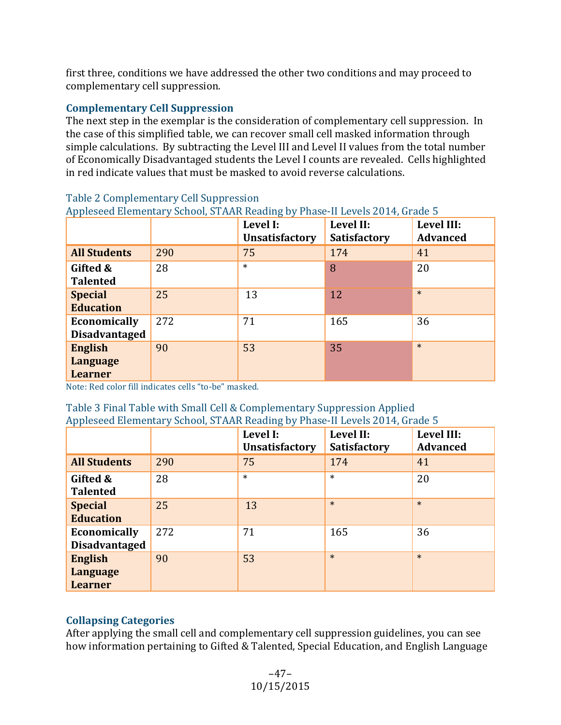first three, conditions we have addressed the other two conditions and may proceed to complementary cell suppression.

### **Complementary Cell Suppression**

The next step in the exemplar is the consideration of complementary cell suppression. In the case of this simplified table, we can recover small cell masked information through simple calculations. By subtracting the Level III and Level II values from the total number of Economically Disadvantaged students the Level I counts are revealed. Cells highlighted in red indicate values that must be masked to avoid reverse calculations.

|                                                     |     | Level I:<br><b>Unsatisfactory</b> | Level II:<br><b>Satisfactory</b> | Level III:<br><b>Advanced</b> |
|-----------------------------------------------------|-----|-----------------------------------|----------------------------------|-------------------------------|
| <b>All Students</b>                                 | 290 | 75                                | 174                              | 41                            |
| Gifted &<br><b>Talented</b>                         | 28  | $\ast$                            | 8                                | 20                            |
| <b>Special</b><br><b>Education</b>                  | 25  | 13                                | 12                               | $\ast$                        |
| Economically<br><b>Disadvantaged</b>                | 272 | 71                                | 165                              | 36                            |
| <b>English</b><br><b>Language</b><br><b>Learner</b> | 90  | 53                                | 35                               | $\ast$                        |

#### Table 2 Complementary Cell Suppression

Appleseed Flamentary School, STAAR Beading by Phase-II Levels 2014, Grade 5

Note: Red color fill indicates cells "to-be" masked.

#### Table 3 Final Table with Small Cell & Complementary Suppression Applied Appleseed Elementary School, STAAR Reading by Phase-II Levels 2014, Grade 5

|                                                     |     | Level I:<br><b>Unsatisfactory</b> | Level II:<br><b>Satisfactory</b> | Level III:<br><b>Advanced</b> |
|-----------------------------------------------------|-----|-----------------------------------|----------------------------------|-------------------------------|
| <b>All Students</b>                                 | 290 | 75                                | 174                              | 41                            |
| Gifted &<br><b>Talented</b>                         | 28  | $\ast$                            | $\ast$                           | 20                            |
| <b>Special</b><br><b>Education</b>                  | 25  | 13                                | $\ast$                           | $\ast$                        |
| Economically<br><b>Disadvantaged</b>                | 272 | 71                                | 165                              | 36                            |
| <b>English</b><br><b>Language</b><br><b>Learner</b> | 90  | 53                                | $\ast$                           | $\ast$                        |

## **Collapsing Categories**

After applying the small cell and complementary cell suppression guidelines, you can see how information pertaining to Gifted & Talented, Special Education, and English Language

> –47– 10/15/2015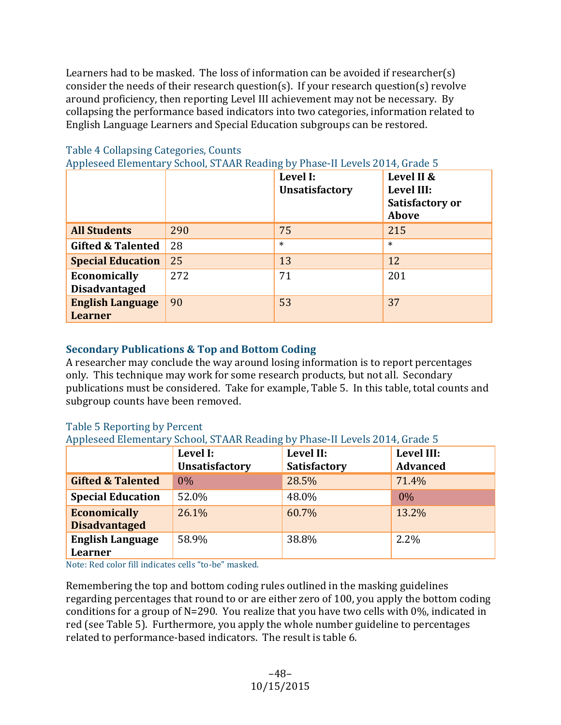Learners had to be masked. The loss of information can be avoided if researcher(s) consider the needs of their research question(s). If your research question(s) revolve around proficiency, then reporting Level III achievement may not be necessary. By collapsing the performance based indicators into two categories, information related to English Language Learners and Special Education subgroups can be restored.

|                                           |     | Level I:<br><b>Unsatisfactory</b> | Level II &<br>Level III:<br>Satisfactory or<br><b>Above</b> |
|-------------------------------------------|-----|-----------------------------------|-------------------------------------------------------------|
| <b>All Students</b>                       | 290 | 75                                | 215                                                         |
| <b>Gifted &amp; Talented</b>              | 28  | $\ast$                            | $\ast$                                                      |
| <b>Special Education</b>                  | 25  | 13                                | 12                                                          |
| Economically<br><b>Disadvantaged</b>      | 272 | 71                                | 201                                                         |
| <b>English Language</b><br><b>Learner</b> | 90  | 53                                | 37                                                          |

#### Table 4 Collapsing Categories, Counts

Appleseed Elementary School, STAAR Reading by Phase-II Levels 2014, Grade 5

### **Secondary Publications & Top and Bottom Coding**

A researcher may conclude the way around losing information is to report percentages only. This technique may work for some research products, but not all. Secondary publications must be considered. Take for example, Table 5. In this table, total counts and subgroup counts have been removed.

#### Table 5 Reporting by Percent

Appleseed Elementary School, STAAR Reading by Phase-II Levels 2014, Grade 5

|                                             | Level I:<br><b>Unsatisfactory</b> | Level II:<br><b>Satisfactory</b> | Level III:<br><b>Advanced</b> |
|---------------------------------------------|-----------------------------------|----------------------------------|-------------------------------|
| <b>Gifted &amp; Talented</b>                | 0%                                | 28.5%                            | 71.4%                         |
| <b>Special Education</b>                    | 52.0%                             | 48.0%                            | 0%                            |
| <b>Economically</b><br><b>Disadvantaged</b> | 26.1%                             | 60.7%                            | 13.2%                         |
| <b>English Language</b><br><b>Learner</b>   | 58.9%                             | 38.8%                            | 2.2%                          |

Note: Red color fill indicates cells "to-be" masked.

Remembering the top and bottom coding rules outlined in the masking guidelines regarding percentages that round to or are either zero of 100, you apply the bottom coding conditions for a group of N=290. You realize that you have two cells with  $0\%$ , indicated in red (see Table 5). Furthermore, you apply the whole number guideline to percentages related to performance-based indicators. The result is table 6.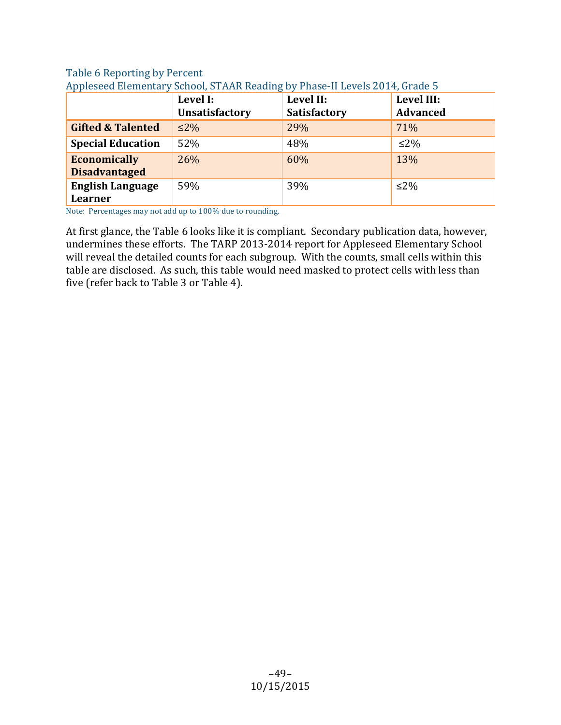#### Table 6 Reporting by Percent Appleseed Elementary School, STAAR Reading by Phase-II Levels 2014, Grade 5

|                                             | Level I:<br><b>Unsatisfactory</b> | Level II:<br><b>Satisfactory</b> | Level III:<br><b>Advanced</b> |
|---------------------------------------------|-----------------------------------|----------------------------------|-------------------------------|
| <b>Gifted &amp; Talented</b>                | $\leq$ 2%                         | 29%                              | 71%                           |
| <b>Special Education</b>                    | 52%                               | 48%                              | $\leq$ 2%                     |
| <b>Economically</b><br><b>Disadvantaged</b> | 26%                               | 60%                              | 13%                           |
| <b>English Language</b><br><b>Learner</b>   | 59%                               | 39%                              | $\leq$ 2%                     |

Note: Percentages may not add up to 100% due to rounding.

At first glance, the Table 6 looks like it is compliant. Secondary publication data, however, undermines these efforts. The TARP 2013-2014 report for Appleseed Elementary School will reveal the detailed counts for each subgroup. With the counts, small cells within this table are disclosed. As such, this table would need masked to protect cells with less than five (refer back to Table 3 or Table 4).